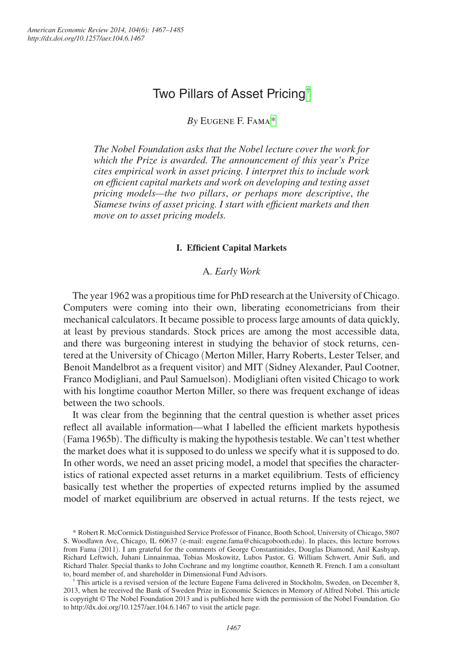# Two Pillars of Asset Pricing[†](#page-0-0)

*By* Eugene F. Fama[\\*](#page-0-1)

*The Nobel Foundation asks that the Nobel lecture cover the work for which the Prize is awarded. The announcement of this year's Prize cites empirical work in asset pricing. I interpret this to include work on efficient capital markets and work on developing and testing asset pricing models—the two pillars*, *or perhaps more descriptive*, *the Siamese twins of asset pricing. I start with efficient markets and then move on to asset pricing models.*

### **I. Efficient Capital Markets**

A. *Early Work*

The year 1962 was a propitious time for PhD research at the University of Chicago. Computers were coming into their own, liberating econometricians from their mechanical calculators. It became possible to process large amounts of data quickly, at least by previous standards. Stock prices are among the most accessible data, and there was burgeoning interest in studying the behavior of stock returns, centered at the University of Chicago (Merton Miller, Harry Roberts, Lester Telser, and Benoit Mandelbrot as a frequent visitor) and MIT (Sidney Alexander, Paul Cootner, Franco Modigliani, and Paul Samuelson). Modigliani often visited Chicago to work with his longtime coauthor Merton Miller, so there was frequent exchange of ideas between the two schools.

It was clear from the beginning that the central question is whether asset prices reflect all available information—what I labelled the efficient markets hypothesis (Fama 1965b). The difficulty is making the hypothesis testable. We can't test whether the market does what it is supposed to do unless we specify what it is supposed to do. In other words, we need an asset pricing model, a model that specifies the characteristics of rational expected asset returns in a market equilibrium. Tests of efficiency basically test whether the properties of expected returns implied by the assumed model of market equilibrium are observed in actual returns. If the tests reject, we

<span id="page-0-1"></span><sup>\*</sup> Robert R. McCormick Distinguished Service Professor of Finance, Booth School, University of Chicago, 5807 S. Woodlawn Ave, Chicago, IL 60637 (e-mail: [eugene.fama@chicagobooth.edu](mailto:eugene.fama@chicagobooth.edu)). In places, this lecture borrows from Fama (2011). I am grateful for the comments of George Constantinides, Douglas Diamond, Anil Kashyap, Richard Leftwich, Juhani Linnainmaa, Tobias Moskowitz, Lubos Pastor, G. William Schwert, Amir Sufi, and Richard Thaler. Special thanks to John Cochrane and my longtime coauthor, Kenneth R. French. I am a consultant to, board member of, and shareholder in Dimensional Fund Advisors. † This article is a revised version of the lecture Eugene Fama delivered in Stockholm, Sweden, on December 8,

<span id="page-0-0"></span><sup>2013,</sup> when he received the Bank of Sweden Prize in Economic Sciences in Memory of Alfred Nobel. This article is copyright © The Nobel Foundation 2013 and is published here with the permission of the Nobel Foundation. Go to<http://dx.doi.org/10.1257/aer.104.6.1467>to visit the article page.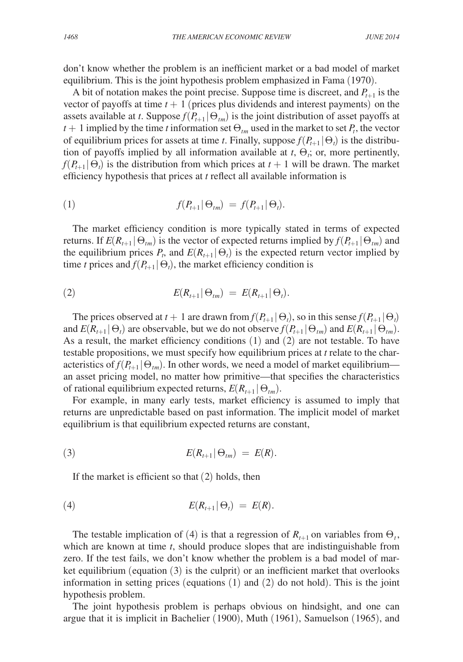don't know whether the problem is an inefficient market or a bad model of market equilibrium. This is the joint hypothesis problem emphasized in Fama (1970).

A bit of notation makes the point precise. Suppose time is discreet, and  $P_{t+1}$  is the vector of payoffs at time  $t + 1$  (prices plus dividends and interest payments) on the assets available at *t*. Suppose  $f(P_{t+1} | \Theta_{tm})$  is the joint distribution of asset payoffs at  $t + 1$  implied by the time *t* information set  $\Theta_{tm}$  used in the market to set  $P_t$ , the vector of equilibrium prices for assets at time *t*. Finally, suppose  $f(P_{t+1} | \Theta_t)$  is the distribution of payoffs implied by all information available at  $t$ ,  $\Theta$ <sub>*i*</sub>; or, more pertinently,  $f(P_{t+1} | \Theta_t)$  is the distribution from which prices at  $t+1$  will be drawn. The market efficiency hypothesis that prices at *t* reflect all available information is

(1) 
$$
f(P_{t+1} | \Theta_{tm}) = f(P_{t+1} | \Theta_t).
$$

The market efficiency condition is more typically stated in terms of expected returns. If  $E(R_{t+1} | \Theta_{tm})$  is the vector of expected returns implied by  $f(P_{t+1} | \Theta_{tm})$  and the equilibrium prices  $P_t$ , and  $E(R_{t+1} | \Theta_t)$  is the expected return vector implied by time *t* prices and  $f(P_{t+1} | \Theta_t)$ , the market efficiency condition is

(2) 
$$
E(R_{t+1} | \Theta_{tm}) = E(R_{t+1} | \Theta_t).
$$

The prices observed at  $t + 1$  are drawn from  $f(P_{t+1} | \Theta_t)$ , so in this sense  $f(P_{t+1} | \Theta_t)$ and  $E(R_{t+1} | \Theta_t)$  are observable, but we do not observe  $f(P_{t+1} | \Theta_{tm})$  and  $E(R_{t+1} | \Theta_{tm})$ . As a result, the market efficiency conditions (1) and (2) are not testable. To have testable propositions, we must specify how equilibrium prices at *t* relate to the characteristics of  $f(P_{t+1} | \Theta_{tm})$ . In other words, we need a model of market equilibrium an asset pricing model, no matter how primitive—that specifies the characteristics of rational equilibrium expected returns,  $E(R_{t+1} | \Theta_{tm})$ .

For example, in many early tests, market efficiency is assumed to imply that returns are unpredictable based on past information. The implicit model of market equilibrium is that equilibrium expected returns are constant,

$$
E(R_{t+1}|\Theta_{tm}) = E(R).
$$

If the market is efficient so that (2) holds, then

$$
E(R_{t+1}|\Theta_t) = E(R).
$$

The testable implication of (4) is that a regression of  $R_{t+1}$  on variables from  $\Theta_t$ , which are known at time *t*, should produce slopes that are indistinguishable from zero. If the test fails, we don't know whether the problem is a bad model of market equilibrium (equation (3) is the culprit) or an inefficient market that overlooks information in setting prices (equations (1) and (2) do not hold). This is the joint hypothesis problem.

The joint hypothesis problem is perhaps obvious on hindsight, and one can argue that it is implicit in Bachelier (1900), Muth (1961), Samuelson (1965), and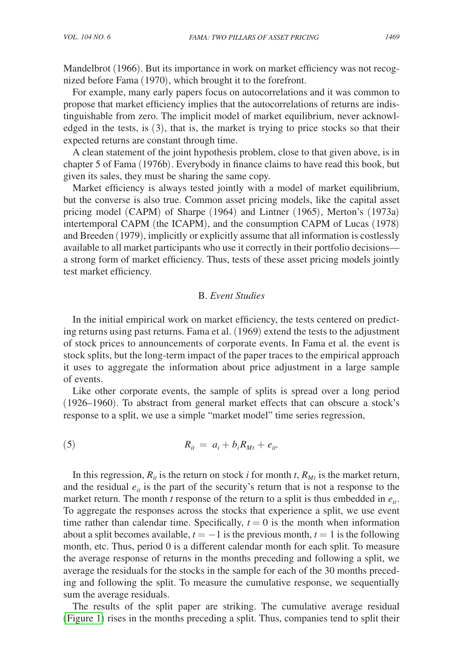Mandelbrot (1966). But its importance in work on market efficiency was not recognized before Fama (1970), which brought it to the forefront.

For example, many early papers focus on autocorrelations and it was common to propose that market efficiency implies that the autocorrelations of returns are indistinguishable from zero. The implicit model of market equilibrium, never acknowledged in the tests, is (3), that is, the market is trying to price stocks so that their expected returns are constant through time.

A clean statement of the joint hypothesis problem, close to that given above, is in chapter 5 of Fama (1976b). Everybody in finance claims to have read this book, but given its sales, they must be sharing the same copy.

Market efficiency is always tested jointly with a model of market equilibrium, but the converse is also true. Common asset pricing models, like the capital asset pricing model (CAPM) of Sharpe (1964) and Lintner (1965), Merton's (1973a) intertemporal CAPM (the ICAPM), and the consumption CAPM of Lucas (1978) and Breeden (1979), implicitly or explicitly assume that all information is costlessly available to all market participants who use it correctly in their portfolio decisions a strong form of market efficiency. Thus, tests of these asset pricing models jointly test market efficiency.

# B. *Event Studies*

In the initial empirical work on market efficiency, the tests centered on predicting returns using past returns. Fama et al. (1969) extend the tests to the adjustment of stock prices to announcements of corporate events. In Fama et al. the event is stock splits, but the long-term impact of the paper traces to the empirical approach it uses to aggregate the information about price adjustment in a large sample of events.

Like other corporate events, the sample of splits is spread over a long period (1926–1960). To abstract from general market effects that can obscure a stock's response to a split, we use a simple "market model" time series regression,

$$
R_{it} = a_i + b_i R_{Mt} + e_{it}.
$$

In this regression,  $R_{it}$  is the return on stock *i* for month *t*,  $R_{Mt}$  is the market return, and the residual  $e_{it}$  is the part of the security's return that is not a response to the market return. The month *t* response of the return to a split is thus embedded in  $e_{it}$ . To aggregate the responses across the stocks that experience a split, we use event time rather than calendar time. Specifically,  $t = 0$  is the month when information about a split becomes available,  $t = -1$  is the previous month,  $t = 1$  is the following month, etc. Thus, period 0 is a different calendar month for each split. To measure the average response of returns in the months preceding and following a split, we average the residuals for the stocks in the sample for each of the 30 months preceding and following the split. To measure the cumulative response, we sequentially sum the average residuals.

The results of the split paper are striking. The cumulative average residual ([Figure 1](#page-3-0)) rises in the months preceding a split. Thus, companies tend to split their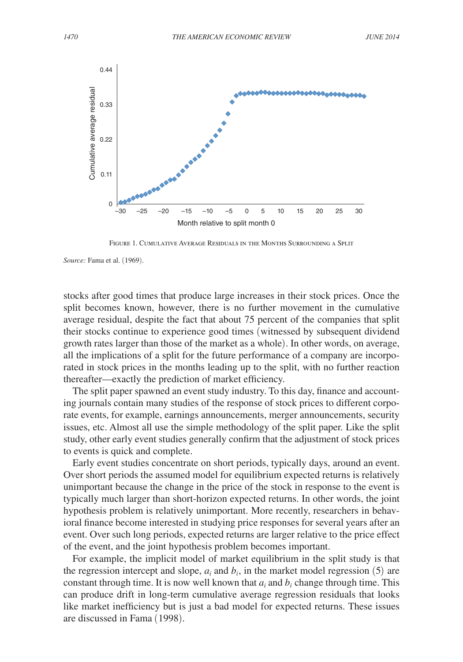<span id="page-3-0"></span>

Figure 1. Cumulative Average Residuals in the Months Surrounding a Split

stocks after good times that produce large increases in their stock prices. Once the split becomes known, however, there is no further movement in the cumulative average residual, despite the fact that about 75 percent of the companies that split their stocks continue to experience good times (witnessed by subsequent dividend growth rates larger than those of the market as a whole). In other words, on average, all the implications of a split for the future performance of a company are incorporated in stock prices in the months leading up to the split, with no further reaction thereafter—exactly the prediction of market efficiency.

The split paper spawned an event study industry. To this day, finance and accounting journals contain many studies of the response of stock prices to different corporate events, for example, earnings announcements, merger announcements, security issues, etc. Almost all use the simple methodology of the split paper. Like the split study, other early event studies generally confirm that the adjustment of stock prices to events is quick and complete.

Early event studies concentrate on short periods, typically days, around an event. Over short periods the assumed model for equilibrium expected returns is relatively unimportant because the change in the price of the stock in response to the event is typically much larger than short-horizon expected returns. In other words, the joint hypothesis problem is relatively unimportant. More recently, researchers in behavioral finance become interested in studying price responses for several years after an event. Over such long periods, expected returns are larger relative to the price effect of the event, and the joint hypothesis problem becomes important.

For example, the implicit model of market equilibrium in the split study is that the regression intercept and slope,  $a_i$  and  $b_i$ , in the market model regression (5) are constant through time. It is now well known that  $a_i$  and  $b_i$  change through time. This can produce drift in long-term cumulative average regression residuals that looks like market inefficiency but is just a bad model for expected returns. These issues

*Source:* Fama et al. (1969).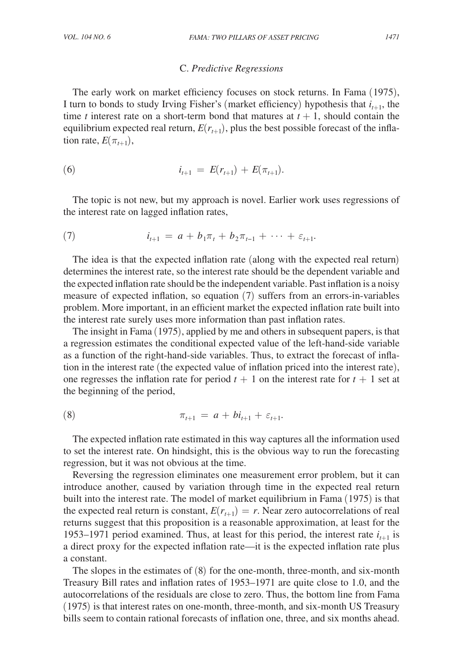#### C. *Predictive Regressions*

The early work on market efficiency focuses on stock returns. In Fama (1975), I turn to bonds to study Irving Fisher's (market efficiency) hypothesis that  $i_{t+1}$ , the time *t* interest rate on a short-term bond that matures at  $t + 1$ , should contain the equilibrium expected real return,  $E(r_{t+1})$ , plus the best possible forecast of the inflation rate,  $E(\pi_{t+1}),$ 

(6) 
$$
i_{t+1} = E(r_{t+1}) + E(\pi_{t+1}).
$$

The topic is not new, but my approach is novel. Earlier work uses regressions of the interest rate on lagged inflation rates,

(7) 
$$
i_{t+1} = a + b_1 \pi_t + b_2 \pi_{t-1} + \cdots + \varepsilon_{t+1}.
$$

The idea is that the expected inflation rate (along with the expected real return) determines the interest rate, so the interest rate should be the dependent variable and the expected inflation rate should be the independent variable. Past inflation is a noisy measure of expected inflation, so equation (7) suffers from an errors-in-variables problem. More important, in an efficient market the expected inflation rate built into the interest rate surely uses more information than past inflation rates.

The insight in Fama (1975), applied by me and others in subsequent papers, is that a regression estimates the conditional expected value of the left-hand-side variable as a function of the right-hand-side variables. Thus, to extract the forecast of inflation in the interest rate (the expected value of inflation priced into the interest rate), one regresses the inflation rate for period  $t + 1$  on the interest rate for  $t + 1$  set at the beginning of the period,

(8) 
$$
\pi_{t+1} = a + bi_{t+1} + \varepsilon_{t+1}.
$$

The expected inflation rate estimated in this way captures all the information used to set the interest rate. On hindsight, this is the obvious way to run the forecasting regression, but it was not obvious at the time.

Reversing the regression eliminates one measurement error problem, but it can introduce another, caused by variation through time in the expected real return built into the interest rate. The model of market equilibrium in Fama (1975) is that the expected real return is constant,  $E(r_{t+1}) = r$ . Near zero autocorrelations of real returns suggest that this proposition is a reasonable approximation, at least for the 1953–1971 period examined. Thus, at least for this period, the interest rate  $i_{t+1}$  is a direct proxy for the expected inflation rate—it is the expected inflation rate plus a constant.

The slopes in the estimates of (8) for the one-month, three-month, and six-month Treasury Bill rates and inflation rates of 1953–1971 are quite close to 1.0, and the autocorrelations of the residuals are close to zero. Thus, the bottom line from Fama (1975) is that interest rates on one-month, three-month, and six-month US Treasury bills seem to contain rational forecasts of inflation one, three, and six months ahead.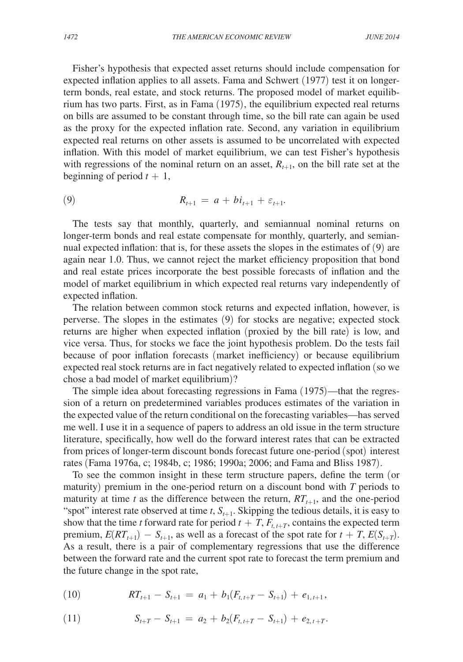Fisher's hypothesis that expected asset returns should include compensation for expected inflation applies to all assets. Fama and Schwert (1977) test it on longerterm bonds, real estate, and stock returns. The proposed model of market equilibrium has two parts. First, as in Fama (1975), the equilibrium expected real returns on bills are assumed to be constant through time, so the bill rate can again be used as the proxy for the expected inflation rate. Second, any variation in equilibrium expected real returns on other assets is assumed to be uncorrelated with expected inflation. With this model of market equilibrium, we can test Fisher's hypothesis with regressions of the nominal return on an asset,  $R_{t+1}$ , on the bill rate set at the beginning of period  $t + 1$ ,

(9) 
$$
R_{t+1} = a + bi_{t+1} + \varepsilon_{t+1}.
$$

The tests say that monthly, quarterly, and semiannual nominal returns on longer-term bonds and real estate compensate for monthly, quarterly, and semiannual expected inflation: that is, for these assets the slopes in the estimates of (9) are again near 1.0. Thus, we cannot reject the market efficiency proposition that bond and real estate prices incorporate the best possible forecasts of inflation and the model of market equilibrium in which expected real returns vary independently of expected inflation.

The relation between common stock returns and expected inflation, however, is perverse. The slopes in the estimates (9) for stocks are negative; expected stock returns are higher when expected inflation (proxied by the bill rate) is low, and vice versa. Thus, for stocks we face the joint hypothesis problem. Do the tests fail because of poor inflation forecasts (market inefficiency) or because equilibrium expected real stock returns are in fact negatively related to expected inflation (so we chose a bad model of market equilibrium)?

The simple idea about forecasting regressions in Fama (1975)—that the regression of a return on predetermined variables produces estimates of the variation in the expected value of the return conditional on the forecasting variables—has served me well. I use it in a sequence of papers to address an old issue in the term structure literature, specifically, how well do the forward interest rates that can be extracted from prices of longer-term discount bonds forecast future one-period (spot) interest rates (Fama 1976a, c; 1984b, c; 1986; 1990a; 2006; and Fama and Bliss 1987).

To see the common insight in these term structure papers, define the term (or maturity) premium in the one-period return on a discount bond with *T* periods to maturity at time *t* as the difference between the return,  $RT_{t+1}$ , and the one-period "spot" interest rate observed at time  $t$ ,  $S_{t+1}$ . Skipping the tedious details, it is easy to show that the time *t* forward rate for period  $t + T$ ,  $F_{t,t+T}$ , contains the expected term premium,  $E(RT_{t+1}) - S_{t+1}$ , as well as a forecast of the spot rate for  $t + T$ ,  $E(S_{t+T})$ . As a result, there is a pair of complementary regressions that use the difference between the forward rate and the current spot rate to forecast the term premium and the future change in the spot rate,

(10) 
$$
RT_{t+1} - S_{t+1} = a_1 + b_1(F_{t,t+T} - S_{t+1}) + e_{1,t+1},
$$

(11) 
$$
S_{t+T} - S_{t+1} = a_2 + b_2(F_{t,t+T} - S_{t+1}) + e_{2,t+T}.
$$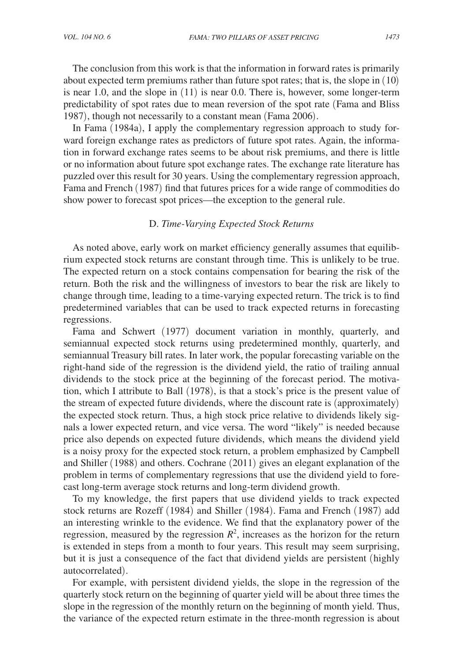The conclusion from this work is that the information in forward rates is primarily about expected term premiums rather than future spot rates; that is, the slope in (10) is near 1.0, and the slope in (11) is near 0.0. There is, however, some longer-term predictability of spot rates due to mean reversion of the spot rate (Fama and Bliss 1987), though not necessarily to a constant mean (Fama 2006).

In Fama (1984a), I apply the complementary regression approach to study forward foreign exchange rates as predictors of future spot rates. Again, the information in forward exchange rates seems to be about risk premiums, and there is little or no information about future spot exchange rates. The exchange rate literature has puzzled over this result for 30 years. Using the complementary regression approach, Fama and French (1987) find that futures prices for a wide range of commodities do show power to forecast spot prices—the exception to the general rule.

#### D. *Time-Varying Expected Stock Returns*

As noted above, early work on market efficiency generally assumes that equilibrium expected stock returns are constant through time. This is unlikely to be true. The expected return on a stock contains compensation for bearing the risk of the return. Both the risk and the willingness of investors to bear the risk are likely to change through time, leading to a time-varying expected return. The trick is to find predetermined variables that can be used to track expected returns in forecasting regressions.

Fama and Schwert (1977) document variation in monthly, quarterly, and semiannual expected stock returns using predetermined monthly, quarterly, and semiannual Treasury bill rates. In later work, the popular forecasting variable on the right-hand side of the regression is the dividend yield, the ratio of trailing annual dividends to the stock price at the beginning of the forecast period. The motivation, which I attribute to Ball (1978), is that a stock's price is the present value of the stream of expected future dividends, where the discount rate is (approximately) the expected stock return. Thus, a high stock price relative to dividends likely signals a lower expected return, and vice versa. The word "likely" is needed because price also depends on expected future dividends, which means the dividend yield is a noisy proxy for the expected stock return, a problem emphasized by Campbell and Shiller (1988) and others. Cochrane (2011) gives an elegant explanation of the problem in terms of complementary regressions that use the dividend yield to forecast long-term average stock returns and long-term dividend growth.

To my knowledge, the first papers that use dividend yields to track expected stock returns are Rozeff (1984) and Shiller (1984). Fama and French (1987) add an interesting wrinkle to the evidence. We find that the explanatory power of the regression, measured by the regression  $R^2$ , increases as the horizon for the return is extended in steps from a month to four years. This result may seem surprising, but it is just a consequence of the fact that dividend yields are persistent (highly autocorrelated).

For example, with persistent dividend yields, the slope in the regression of the quarterly stock return on the beginning of quarter yield will be about three times the slope in the regression of the monthly return on the beginning of month yield. Thus, the variance of the expected return estimate in the three-month regression is about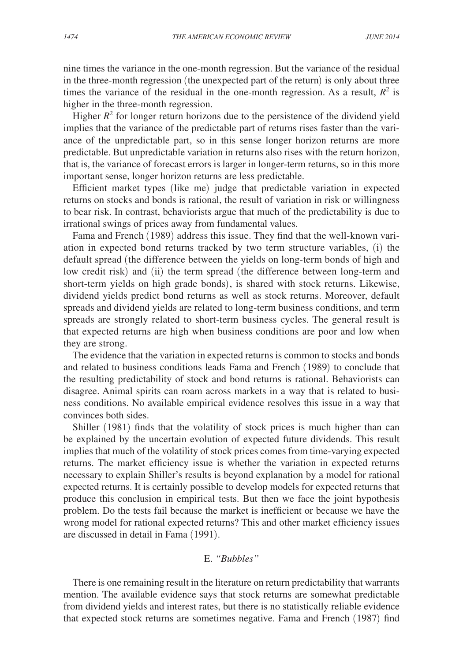nine times the variance in the one-month regression. But the variance of the residual in the three-month regression (the unexpected part of the return) is only about three times the variance of the residual in the one-month regression. As a result,  $R^2$  is higher in the three-month regression.

Higher  $R^2$  for longer return horizons due to the persistence of the dividend yield implies that the variance of the predictable part of returns rises faster than the variance of the unpredictable part, so in this sense longer horizon returns are more predictable. But unpredictable variation in returns also rises with the return horizon, that is, the variance of forecast errors is larger in longer-term returns, so in this more important sense, longer horizon returns are less predictable.

Efficient market types (like me) judge that predictable variation in expected returns on stocks and bonds is rational, the result of variation in risk or willingness to bear risk. In contrast, behaviorists argue that much of the predictability is due to irrational swings of prices away from fundamental values.

Fama and French (1989) address this issue. They find that the well-known variation in expected bond returns tracked by two term structure variables, (i) the default spread (the difference between the yields on long-term bonds of high and low credit risk) and (ii) the term spread (the difference between long-term and short-term yields on high grade bonds), is shared with stock returns. Likewise, dividend yields predict bond returns as well as stock returns. Moreover, default spreads and dividend yields are related to long-term business conditions, and term spreads are strongly related to short-term business cycles. The general result is that expected returns are high when business conditions are poor and low when they are strong.

The evidence that the variation in expected returns is common to stocks and bonds and related to business conditions leads Fama and French (1989) to conclude that the resulting predictability of stock and bond returns is rational. Behaviorists can disagree. Animal spirits can roam across markets in a way that is related to business conditions. No available empirical evidence resolves this issue in a way that convinces both sides.

Shiller (1981) finds that the volatility of stock prices is much higher than can be explained by the uncertain evolution of expected future dividends. This result implies that much of the volatility of stock prices comes from time-varying expected returns. The market efficiency issue is whether the variation in expected returns necessary to explain Shiller's results is beyond explanation by a model for rational expected returns. It is certainly possible to develop models for expected returns that produce this conclusion in empirical tests. But then we face the joint hypothesis problem. Do the tests fail because the market is inefficient or because we have the wrong model for rational expected returns? This and other market efficiency issues are discussed in detail in Fama (1991).

# E. *"Bubbles"*

There is one remaining result in the literature on return predictability that warrants mention. The available evidence says that stock returns are somewhat predictable from dividend yields and interest rates, but there is no statistically reliable evidence that expected stock returns are sometimes negative. Fama and French (1987) find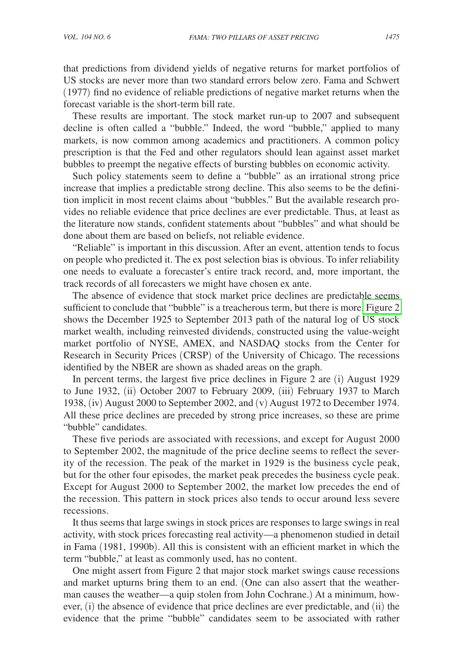that predictions from dividend yields of negative returns for market portfolios of US stocks are never more than two standard errors below zero. Fama and Schwert (1977) find no evidence of reliable predictions of negative market returns when the forecast variable is the short-term bill rate.

These results are important. The stock market run-up to 2007 and subsequent decline is often called a "bubble." Indeed, the word "bubble," applied to many markets, is now common among academics and practitioners. A common policy prescription is that the Fed and other regulators should lean against asset market bubbles to preempt the negative effects of bursting bubbles on economic activity.

Such policy statements seem to define a "bubble" as an irrational strong price increase that implies a predictable strong decline. This also seems to be the definition implicit in most recent claims about "bubbles." But the available research provides no reliable evidence that price declines are ever predictable. Thus, at least as the literature now stands, confident statements about "bubbles" and what should be done about them are based on beliefs, not reliable evidence.

"Reliable" is important in this discussion. After an event, attention tends to focus on people who predicted it. The ex post selection bias is obvious. To infer reliability one needs to evaluate a forecaster's entire track record, and, more important, the track records of all forecasters we might have chosen ex ante.

The absence of evidence that stock market price declines are predictable seems sufficient to conclude that "bubble" is a treacherous term, but there is more[. Figure 2](#page-9-0)  shows the December 1925 to September 2013 path of the natural log of US stock market wealth, including reinvested dividends, constructed using the value-weight market portfolio of NYSE, AMEX, and NASDAQ stocks from the Center for Research in Security Prices (CRSP) of the University of Chicago. The recessions identified by the NBER are shown as shaded areas on the graph.

In percent terms, the largest five price declines in Figure 2 are (i) August 1929 to June 1932, (ii) October 2007 to February 2009, (iii) February 1937 to March 1938, (iv) August 2000 to September 2002, and (v) August 1972 to December 1974. All these price declines are preceded by strong price increases, so these are prime "bubble" candidates.

These five periods are associated with recessions, and except for August 2000 to September 2002, the magnitude of the price decline seems to reflect the severity of the recession. The peak of the market in 1929 is the business cycle peak, but for the other four episodes, the market peak precedes the business cycle peak. Except for August 2000 to September 2002, the market low precedes the end of the recession. This pattern in stock prices also tends to occur around less severe recessions.

It thus seems that large swings in stock prices are responses to large swings in real activity, with stock prices forecasting real activity—a phenomenon studied in detail in Fama (1981, 1990b). All this is consistent with an efficient market in which the term "bubble," at least as commonly used, has no content.

One might assert from Figure 2 that major stock market swings cause recessions and market upturns bring them to an end. (One can also assert that the weatherman causes the weather—a quip stolen from John Cochrane.) At a minimum, however, (i) the absence of evidence that price declines are ever predictable, and (ii) the evidence that the prime "bubble" candidates seem to be associated with rather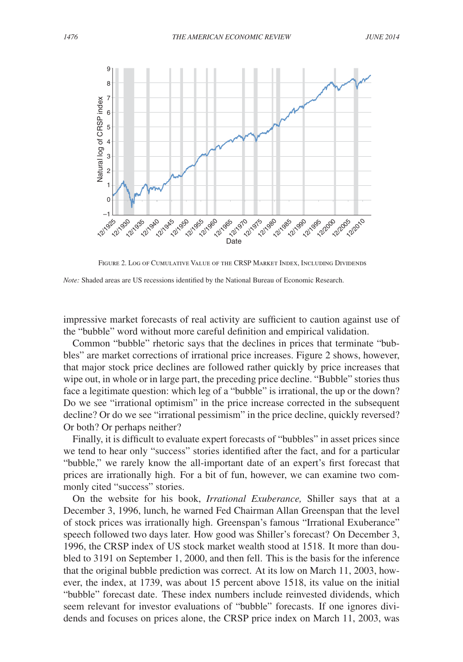<span id="page-9-0"></span>

Figure 2. Log of Cumulative Value of the Crsp Market Index, Including Dividends

*Note:* Shaded areas are US recessions identified by the National Bureau of Economic Research.

impressive market forecasts of real activity are sufficient to caution against use of the "bubble" word without more careful definition and empirical validation.

Common "bubble" rhetoric says that the declines in prices that terminate "bubbles" are market corrections of irrational price increases. Figure 2 shows, however, that major stock price declines are followed rather quickly by price increases that wipe out, in whole or in large part, the preceding price decline. "Bubble" stories thus face a legitimate question: which leg of a "bubble" is irrational, the up or the down? Do we see "irrational optimism" in the price increase corrected in the subsequent decline? Or do we see "irrational pessimism" in the price decline, quickly reversed? Or both? Or perhaps neither?

Finally, it is difficult to evaluate expert forecasts of "bubbles" in asset prices since we tend to hear only "success" stories identified after the fact, and for a particular "bubble," we rarely know the all-important date of an expert's first forecast that prices are irrationally high. For a bit of fun, however, we can examine two commonly cited "success" stories.

On the website for his book, *Irrational Exuberance,* Shiller says that at a December 3, 1996, lunch, he warned Fed Chairman Allan Greenspan that the level of stock prices was irrationally high. Greenspan's famous "Irrational Exuberance" speech followed two days later. How good was Shiller's forecast? On December 3, 1996, the CRSP index of US stock market wealth stood at 1518. It more than doubled to 3191 on September 1, 2000, and then fell. This is the basis for the inference that the original bubble prediction was correct. At its low on March 11, 2003, however, the index, at 1739, was about 15 percent above 1518, its value on the initial "bubble" forecast date. These index numbers include reinvested dividends, which seem relevant for investor evaluations of "bubble" forecasts. If one ignores divi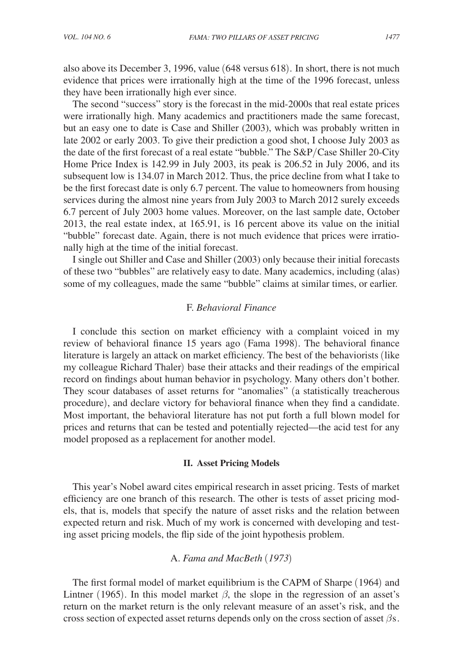also above its December 3, 1996, value (648 versus 618). In short, there is not much evidence that prices were irrationally high at the time of the 1996 forecast, unless they have been irrationally high ever since.

The second "success" story is the forecast in the mid-2000s that real estate prices were irrationally high. Many academics and practitioners made the same forecast, but an easy one to date is Case and Shiller (2003), which was probably written in late 2002 or early 2003. To give their prediction a good shot, I choose July 2003 as the date of the first forecast of a real estate "bubble." The S&P/Case Shiller 20-City Home Price Index is 142.99 in July 2003, its peak is 206.52 in July 2006, and its subsequent low is 134.07 in March 2012. Thus, the price decline from what I take to be the first forecast date is only 6.7 percent. The value to homeowners from housing services during the almost nine years from July 2003 to March 2012 surely exceeds 6.7 percent of July 2003 home values. Moreover, on the last sample date, October 2013, the real estate index, at 165.91, is 16 percent above its value on the initial "bubble" forecast date. Again, there is not much evidence that prices were irrationally high at the time of the initial forecast.

I single out Shiller and Case and Shiller (2003) only because their initial forecasts of these two "bubbles" are relatively easy to date. Many academics, including (alas) some of my colleagues, made the same "bubble" claims at similar times, or earlier.

# F. *Behavioral Finance*

I conclude this section on market efficiency with a complaint voiced in my review of behavioral finance 15 years ago (Fama 1998). The behavioral finance literature is largely an attack on market efficiency. The best of the behaviorists (like my colleague Richard Thaler) base their attacks and their readings of the empirical record on findings about human behavior in psychology. Many others don't bother. They scour databases of asset returns for "anomalies" (a statistically treacherous procedure), and declare victory for behavioral finance when they find a candidate. Most important, the behavioral literature has not put forth a full blown model for prices and returns that can be tested and potentially rejected—the acid test for any model proposed as a replacement for another model.

#### **II. Asset Pricing Models**

This year's Nobel award cites empirical research in asset pricing. Tests of market efficiency are one branch of this research. The other is tests of asset pricing models, that is, models that specify the nature of asset risks and the relation between expected return and risk. Much of my work is concerned with developing and testing asset pricing models, the flip side of the joint hypothesis problem.

# A. *Fama and MacBeth* (*1973*)

The first formal model of market equilibrium is the CAPM of Sharpe (1964) and Lintner (1965). In this model market  $\beta$ , the slope in the regression of an asset's return on the market return is the only relevant measure of an asset's risk, and the cross section of expected asset returns depends only on the cross section of asset  $\beta s$ .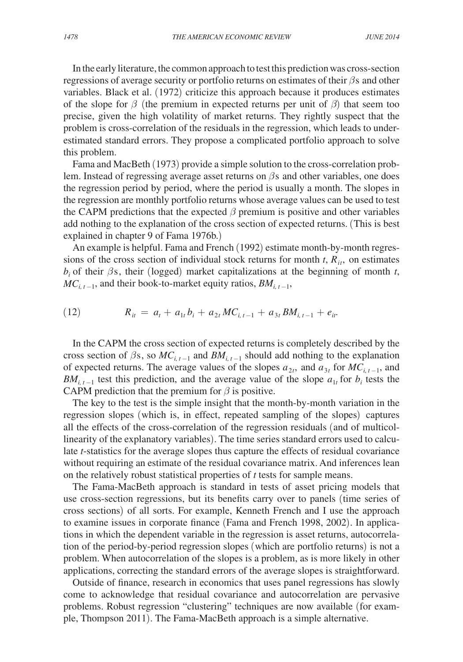In the early literature, the common approach to test this prediction was cross-section regressions of average security or portfolio returns on estimates of their  $\beta s$  and other variables. Black et al. (1972) criticize this approach because it produces estimates of the slope for  $\beta$  (the premium in expected returns per unit of  $\beta$ ) that seem too precise, given the high volatility of market returns. They rightly suspect that the problem is cross-correlation of the residuals in the regression, which leads to underestimated standard errors. They propose a complicated portfolio approach to solve this problem.

Fama and MacBeth (1973) provide a simple solution to the cross-correlation problem. Instead of regressing average asset returns on  $\beta$ s and other variables, one does the regression period by period, where the period is usually a month. The slopes in the regression are monthly portfolio returns whose average values can be used to test the CAPM predictions that the expected  $\beta$  premium is positive and other variables add nothing to the explanation of the cross section of expected returns. (This is best explained in chapter 9 of Fama 1976b.)

An example is helpful. Fama and French (1992) estimate month-by-month regressions of the cross section of individual stock returns for month  $t$ ,  $R_{it}$ , on estimates  $b_i$  of their  $\beta$ s, their (logged) market capitalizations at the beginning of month *t*,  $MC_{i, t-1}$ , and their book-to-market equity ratios,  $BM_{i, t-1}$ ,

(12) 
$$
R_{it} = a_t + a_{1t}b_i + a_{2t}MC_{i,t-1} + a_{3t}BM_{i,t-1} + e_{it}.
$$

In the CAPM the cross section of expected returns is completely described by the cross section of  $\beta s$ , so  $MC_{i,t-1}$  and  $BM_{i,t-1}$  should add nothing to the explanation of expected returns. The average values of the slopes  $a_{2t}$ , and  $a_{3t}$  for  $MC_{i,t-1}$ , and *BM*<sub>i, t-1</sub> test this prediction, and the average value of the slope  $a_{1t}$  for  $b_i$  tests the CAPM prediction that the premium for  $\beta$  is positive.

The key to the test is the simple insight that the month-by-month variation in the regression slopes (which is, in effect, repeated sampling of the slopes) captures all the effects of the cross-correlation of the regression residuals (and of multicollinearity of the explanatory variables). The time series standard errors used to calculate *t*-statistics for the average slopes thus capture the effects of residual covariance without requiring an estimate of the residual covariance matrix. And inferences lean on the relatively robust statistical properties of *t* tests for sample means.

The Fama-MacBeth approach is standard in tests of asset pricing models that use cross-section regressions, but its benefits carry over to panels (time series of cross sections) of all sorts. For example, Kenneth French and I use the approach to examine issues in corporate finance (Fama and French 1998, 2002). In applications in which the dependent variable in the regression is asset returns, autocorrelation of the period-by-period regression slopes (which are portfolio returns) is not a problem. When autocorrelation of the slopes is a problem, as is more likely in other applications, correcting the standard errors of the average slopes is straightforward.

Outside of finance, research in economics that uses panel regressions has slowly come to acknowledge that residual covariance and autocorrelation are pervasive problems. Robust regression "clustering" techniques are now available (for example, Thompson 2011). The Fama-MacBeth approach is a simple alternative.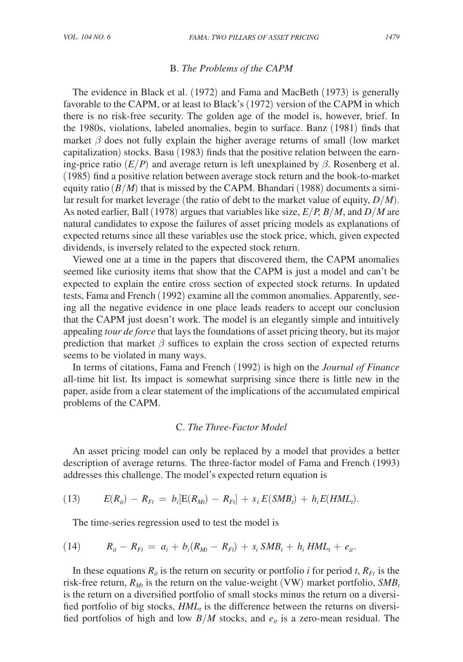#### B. *The Problems of the CAPM*

The evidence in Black et al. (1972) and Fama and MacBeth (1973) is generally favorable to the CAPM, or at least to Black's (1972) version of the CAPM in which there is no risk-free security. The golden age of the model is, however, brief. In the 1980s, violations, labeled anomalies, begin to surface. Banz (1981) finds that market  $\beta$  does not fully explain the higher average returns of small (low market capitalization) stocks. Basu (1983) finds that the positive relation between the earning-price ratio  $(E/P)$  and average return is left unexplained by  $\beta$ . Rosenberg et al. (1985) find a positive relation between average stock return and the book-to-market equity ratio  $(B/M)$  that is missed by the CAPM. Bhandari (1988) documents a similar result for market leverage (the ratio of debt to the market value of equity, *D*/*M*). As noted earlier, Ball (1978) argues that variables like size, *E*/*P, B*/*M*, and *D*/*M* are natural candidates to expose the failures of asset pricing models as explanations of expected returns since all these variables use the stock price, which, given expected dividends, is inversely related to the expected stock return.

Viewed one at a time in the papers that discovered them, the CAPM anomalies seemed like curiosity items that show that the CAPM is just a model and can't be expected to explain the entire cross section of expected stock returns. In updated tests, Fama and French (1992) examine all the common anomalies. Apparently, seeing all the negative evidence in one place leads readers to accept our conclusion that the CAPM just doesn't work. The model is an elegantly simple and intuitively appealing *tour de force* that lays the foundations of asset pricing theory, but its major prediction that market  $\beta$  suffices to explain the cross section of expected returns seems to be violated in many ways.

In terms of citations, Fama and French (1992) is high on the *Journal of Finance*  all-time hit list. Its impact is somewhat surprising since there is little new in the paper, aside from a clear statement of the implications of the accumulated empirical problems of the CAPM.

# C. *The Three-Factor Model*

An asset pricing model can only be replaced by a model that provides a better description of average returns. The three-factor model of Fama and French (1993) addresses this challenge. The model's expected return equation is

(13) 
$$
E(R_{it}) - R_{Ft} = b_i[E(R_{Mt}) - R_{Ft}] + s_i E(SMB_t) + h_i E(HML_t).
$$

The time-series regression used to test the model is

(14) 
$$
R_{it} - R_{Ft} = a_i + b_i(R_{Mt} - R_{Ft}) + s_i\,SMB_t + h_i\,HML_t + e_{it}.
$$

In these equations  $R_{it}$  is the return on security or portfolio *i* for period *t*,  $R_{Ft}$  is the risk-free return,  $R_{Mt}$  is the return on the value-weight (VW) market portfolio,  $SMB_t$ is the return on a diversified portfolio of small stocks minus the return on a diversified portfolio of big stocks,  $HML<sub>t</sub>$  is the difference between the returns on diversified portfolios of high and low  $B/M$  stocks, and  $e_{it}$  is a zero-mean residual. The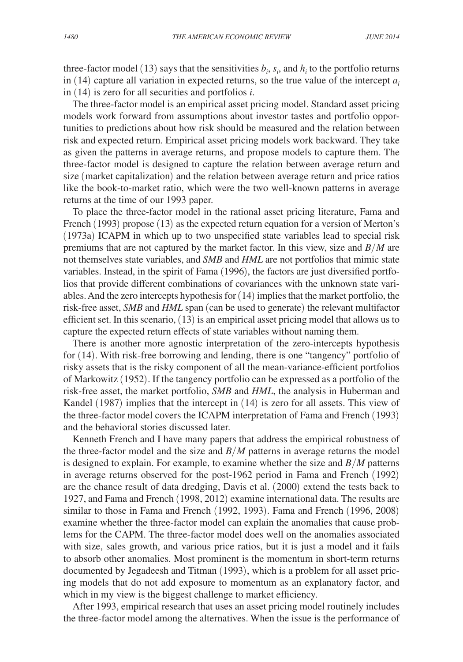three-factor model (13) says that the sensitivities  $b_i$ ,  $s_i$ , and  $h_i$  to the portfolio returns in  $(14)$  capture all variation in expected returns, so the true value of the intercept  $a_i$ in (14) is zero for all securities and portfolios *i*.

The three-factor model is an empirical asset pricing model. Standard asset pricing models work forward from assumptions about investor tastes and portfolio opportunities to predictions about how risk should be measured and the relation between risk and expected return. Empirical asset pricing models work backward. They take as given the patterns in average returns, and propose models to capture them. The three-factor model is designed to capture the relation between average return and size (market capitalization) and the relation between average return and price ratios like the book-to-market ratio, which were the two well-known patterns in average returns at the time of our 1993 paper.

To place the three-factor model in the rational asset pricing literature, Fama and French (1993) propose (13) as the expected return equation for a version of Merton's (1973a) ICAPM in which up to two unspecified state variables lead to special risk premiums that are not captured by the market factor. In this view, size and *B*/*M* are not themselves state variables, and *SMB* and *HML* are not portfolios that mimic state variables. Instead, in the spirit of Fama (1996), the factors are just diversified portfolios that provide different combinations of covariances with the unknown state variables. And the zero intercepts hypothesis for (14) implies that the market portfolio, the risk-free asset, *SMB* and *HML* span (can be used to generate) the relevant multifactor efficient set. In this scenario, (13) is an empirical asset pricing model that allows us to capture the expected return effects of state variables without naming them.

There is another more agnostic interpretation of the zero-intercepts hypothesis for (14). With risk-free borrowing and lending, there is one "tangency" portfolio of risky assets that is the risky component of all the mean-variance-efficient portfolios of Markowitz (1952). If the tangency portfolio can be expressed as a portfolio of the risk-free asset, the market portfolio, *SMB* and *HML*, the analysis in Huberman and Kandel (1987) implies that the intercept in (14) is zero for all assets. This view of the three-factor model covers the ICAPM interpretation of Fama and French (1993) and the behavioral stories discussed later.

Kenneth French and I have many papers that address the empirical robustness of the three-factor model and the size and  $B/M$  patterns in average returns the model is designed to explain. For example, to examine whether the size and *B*/*M* patterns in average returns observed for the post-1962 period in Fama and French (1992) are the chance result of data dredging, Davis et al. (2000) extend the tests back to 1927, and Fama and French (1998, 2012) examine international data. The results are similar to those in Fama and French (1992, 1993). Fama and French (1996, 2008) examine whether the three-factor model can explain the anomalies that cause problems for the CAPM. The three-factor model does well on the anomalies associated with size, sales growth, and various price ratios, but it is just a model and it fails to absorb other anomalies. Most prominent is the momentum in short-term returns documented by Jegadeesh and Titman (1993), which is a problem for all asset pricing models that do not add exposure to momentum as an explanatory factor, and which in my view is the biggest challenge to market efficiency.

After 1993, empirical research that uses an asset pricing model routinely includes the three-factor model among the alternatives. When the issue is the performance of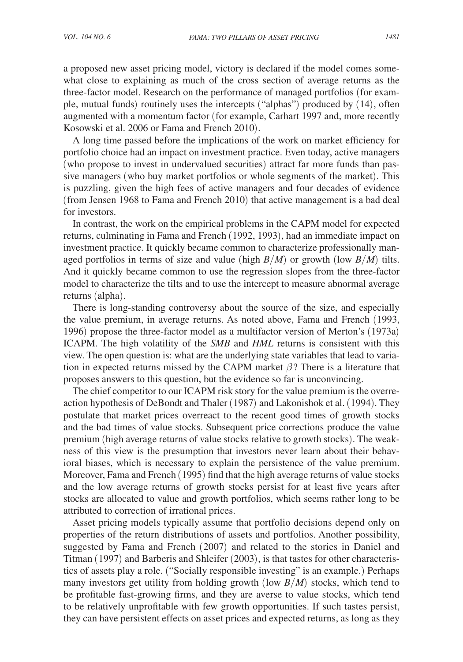a proposed new asset pricing model, victory is declared if the model comes somewhat close to explaining as much of the cross section of average returns as the three-factor model. Research on the performance of managed portfolios (for example, mutual funds) routinely uses the intercepts ("alphas") produced by (14), often augmented with a momentum factor (for example, Carhart 1997 and, more recently Kosowski et al. 2006 or Fama and French 2010).

A long time passed before the implications of the work on market efficiency for portfolio choice had an impact on investment practice. Even today, active managers (who propose to invest in undervalued securities) attract far more funds than passive managers (who buy market portfolios or whole segments of the market). This is puzzling, given the high fees of active managers and four decades of evidence (from Jensen 1968 to Fama and French 2010) that active management is a bad deal for investors.

In contrast, the work on the empirical problems in the CAPM model for expected returns, culminating in Fama and French (1992, 1993), had an immediate impact on investment practice. It quickly became common to characterize professionally managed portfolios in terms of size and value (high  $B/M$ ) or growth (low  $B/M$ ) tilts. And it quickly became common to use the regression slopes from the three-factor model to characterize the tilts and to use the intercept to measure abnormal average returns (alpha).

There is long-standing controversy about the source of the size, and especially the value premium, in average returns. As noted above, Fama and French (1993, 1996) propose the three-factor model as a multifactor version of Merton's (1973a) ICAPM. The high volatility of the *SMB* and *HML* returns is consistent with this view. The open question is: what are the underlying state variables that lead to variation in expected returns missed by the CAPM market  $\beta$ ? There is a literature that proposes answers to this question, but the evidence so far is unconvincing.

The chief competitor to our ICAPM risk story for the value premium is the overreaction hypothesis of DeBondt and Thaler (1987) and Lakonishok et al. (1994). They postulate that market prices overreact to the recent good times of growth stocks and the bad times of value stocks. Subsequent price corrections produce the value premium (high average returns of value stocks relative to growth stocks). The weakness of this view is the presumption that investors never learn about their behavioral biases, which is necessary to explain the persistence of the value premium. Moreover, Fama and French (1995) find that the high average returns of value stocks and the low average returns of growth stocks persist for at least five years after stocks are allocated to value and growth portfolios, which seems rather long to be attributed to correction of irrational prices.

Asset pricing models typically assume that portfolio decisions depend only on properties of the return distributions of assets and portfolios. Another possibility, suggested by Fama and French (2007) and related to the stories in Daniel and Titman (1997) and Barberis and Shleifer (2003), is that tastes for other characteristics of assets play a role. ("Socially responsible investing" is an example.) Perhaps many investors get utility from holding growth (low *B*/*M*) stocks, which tend to be profitable fast-growing firms, and they are averse to value stocks, which tend to be relatively unprofitable with few growth opportunities. If such tastes persist, they can have persistent effects on asset prices and expected returns, as long as they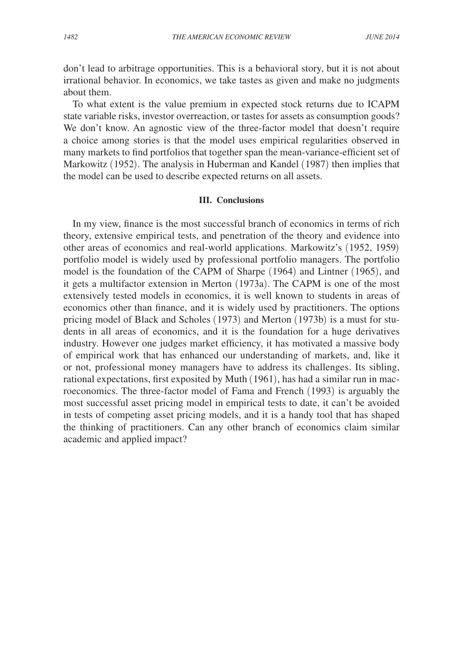don't lead to arbitrage opportunities. This is a behavioral story, but it is not about irrational behavior. In economics, we take tastes as given and make no judgments about them.

To what extent is the value premium in expected stock returns due to ICAPM state variable risks, investor overreaction, or tastes for assets as consumption goods? We don't know. An agnostic view of the three-factor model that doesn't require a choice among stories is that the model uses empirical regularities observed in many markets to find portfolios that together span the mean-variance-efficient set of Markowitz (1952). The analysis in Huberman and Kandel (1987) then implies that the model can be used to describe expected returns on all assets.

#### **III. Conclusions**

In my view, finance is the most successful branch of economics in terms of rich theory, extensive empirical tests, and penetration of the theory and evidence into other areas of economics and real-world applications. Markowitz's (1952, 1959) portfolio model is widely used by professional portfolio managers. The portfolio model is the foundation of the CAPM of Sharpe (1964) and Lintner (1965), and it gets a multifactor extension in Merton (1973a). The CAPM is one of the most extensively tested models in economics, it is well known to students in areas of economics other than finance, and it is widely used by practitioners. The options pricing model of Black and Scholes (1973) and Merton (1973b) is a must for students in all areas of economics, and it is the foundation for a huge derivatives industry. However one judges market efficiency, it has motivated a massive body of empirical work that has enhanced our understanding of markets, and, like it or not, professional money managers have to address its challenges. Its sibling, rational expectations, first exposited by Muth (1961), has had a similar run in macroeconomics. The three-factor model of Fama and French (1993) is arguably the most successful asset pricing model in empirical tests to date, it can't be avoided in tests of competing asset pricing models, and it is a handy tool that has shaped the thinking of practitioners. Can any other branch of economics claim similar academic and applied impact?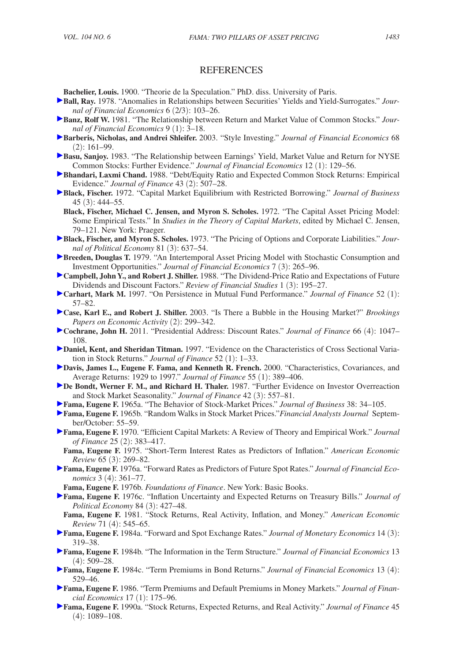#### **REFERENCES**

**Bachelier, Louis.** 1900. "Theorie de la Speculation." PhD. diss. University of Paris.

- **Ball, Ray.** 1978. "Anomalies in Relationships between Securities' Yields and Yield-Surrogates." *Journal of Financial Economics* 6 (2/3): 103–26.
- **Banz, Rolf W.** 1981. "The Relationship between Return and Market Value of Common Stocks." *Journal of Financial Economics* 9 (1): 3–18.
- **Barberis, Nicholas, and Andrei Shleifer.** 2003. "Style Investing." *Journal of Financial Economics* 68 (2): 161–99.
- **Basu, Sanjoy.** 1983. "The Relationship between Earnings' Yield, Market Value and Return for NYSE Common Stocks: Further Evidence." *Journal of Financial Economics* 12 (1): 129–56.
- **Bhandari, Laxmi Chand.** 1988. "Debt/Equity Ratio and Expected Common Stock Returns: Empirical Evidence." *Journal of Finance* 43 (2): 507–28.
- **Black, Fischer.** 1972. "Capital Market Equilibrium with Restricted Borrowing." *Journal of Business* 45 (3): 444–55.
	- **Black, Fischer, Michael C. Jensen, and Myron S. Scholes.** 1972. "The Capital Asset Pricing Model: Some Empirical Tests." In *Studies in the Theory of Capital Markets*, edited by Michael C. Jensen, 79–121. New York: Praeger.
- **Black, Fischer, and Myron S. Scholes.** 1973. "The Pricing of Options and Corporate Liabilities." *Journal of Political Economy* 81 (3): 637–54.
- **Breeden, Douglas T.** 1979. "An Intertemporal Asset Pricing Model with Stochastic Consumption and Investment Opportunities." *Journal of Financial Economics* 7 (3): 265–96.
- **Campbell, John Y., and Robert J. Shiller.** 1988. "The Dividend-Price Ratio and Expectations of Future Dividends and Discount Factors." *Review of Financial Studies* 1 (3): 195–27.
- **Carhart, Mark M.** 1997. "On Persistence in Mutual Fund Performance." *Journal of Finance* 52 (1): 57–82.
- **Case, Karl E., and Robert J. Shiller.** 2003. "Is There a Bubble in the Housing Market?" *Brookings Papers on Economic Activity* (2): 299–342.
- **Cochrane, John H.** 2011. "Presidential Address: Discount Rates." *Journal of Finance* 66 (4): 1047– 108.
- **Daniel, Kent, and Sheridan Titman.** 1997. "Evidence on the Characteristics of Cross Sectional Variation in Stock Returns." *Journal of Finance* 52 (1): 1–33.
- **Davis, James L., Eugene F. Fama, and Kenneth R. French.** 2000. "Characteristics, Covariances, and Average Returns: 1929 to 1997." *Journal of Finance* 55 (1): 389–406.
- **De Bondt, Werner F. M., and Richard H. Thaler.** 1987. "Further Evidence on Investor Overreaction and Stock Market Seasonality." *Journal of Finance* 42 (3): 557–81.
- **Fama, Eugene F.** 1965a. "The Behavior of Stock-Market Prices." *Journal of Business* 38: 34–105.
- **Fama, Eugene F.** 1965b. "Random Walks in Stock Market Prices."*Financial Analysts Journal* September/October: 55–59.
- **Fama, Eugene F.** 1970. "Efficient Capital Markets: A Review of Theory and Empirical Work." *Journal of Finance* 25 (2): 383–417.
	- **Fama, Eugene F.** 1975. "Short-Term Interest Rates as Predictors of Inflation." *American Economic Review* 65 (3): 269–82.
- **Fama, Eugene F.** 1976a. "Forward Rates as Predictors of Future Spot Rates." *Journal of Financial Economics* 3 (4): 361–77.

**Fama, Eugene F.** 1976b. *Foundations of Finance*. New York: Basic Books.

**Fama, Eugene F.** 1976c. "Inflation Uncertainty and Expected Returns on Treasury Bills." *Journal of Political Economy* 84 (3): 427–48.

**Fama, Eugene F.** 1981. "Stock Returns, Real Activity, Inflation, and Money." *American Economic Review* 71 (4): 545–65.

- **Fama, Eugene F.** 1984a. "Forward and Spot Exchange Rates." *Journal of Monetary Economics* 14 (3): 319–38.
- **Fama, Eugene F.** 1984b. "The Information in the Term Structure." *Journal of Financial Economics* 13 (4): 509–28.
- **Fama, Eugene F.** 1984c. "Term Premiums in Bond Returns." *Journal of Financial Economics* 13 (4): 529–46.
- **Fama, Eugene F.** 1986. "Term Premiums and Default Premiums in Money Markets." *Journal of Financial Economics* 17 (1): 175–96.
- **Fama, Eugene F.** 1990a. "Stock Returns, Expected Returns, and Real Activity." *Journal of Finance* 45 (4): 1089–108.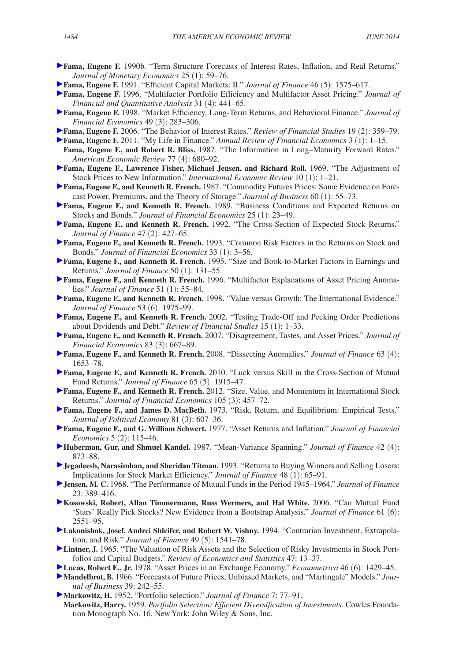- **Fama, Eugene F. 1990b. "Term-Structure Forecasts of Interest Rates, Inflation, and Real Returns."** *Journal of Monetary Economics* 25 (1): 59–76.
- **Fama, Eugene F.** 1991. "Efficient Capital Markets: II." *Journal of Finance* 46 (5): 1575–617.
- **Fama, Eugene F.** 1996. "Multifactor Portfolio Efficiency and Multifactor Asset Pricing." *Journal of Financial and Quantitative Analysis* 31 (4): 441–65.
- **Fama, Eugene F.** 1998. "Market Efficiency, Long-Term Returns, and Behavioral Finance." *Journal of Financial Economics* 49 (3): 283–306.
- **Fama, Eugene F.** 2006. "The Behavior of Interest Rates." *Review of Financial Studies* 19 (2): 359–79.
- **Fama, Eugene F.** 2011. "My Life in Finance." *Annual Review of Financial Economics* 3 (1): 1–15. **Fama, Eugene F., and Robert R. Bliss.** 1987. "The Information in Long–Maturity Forward Rates." *American Economic Review* 77 (4): 680–92.
- **Fama, Eugene F., Lawrence Fisher, Michael Jensen, and Richard Roll.** 1969. "The Adjustment of Stock Prices to New Information." *International Economic Review* 10 (1): 1–21.
- **Fama, Eugene F., and Kenneth R. French.** 1987. "Commodity Futures Prices: Some Evidence on Forecast Power, Premiums, and the Theory of Storage." *Journal of Business* 60 (1): 55–73.
- **Fama, Eugene F., and Kenneth R. French.** 1989. "Business Conditions and Expected Returns on Stocks and Bonds." *Journal of Financial Economics* 25 (1): 23–49.
- **Fama, Eugene F., and Kenneth R. French.** 1992. "The Cross-Section of Expected Stock Returns." *Journal of Finance* 47 (2): 427–65.
- **Fama, Eugene F., and Kenneth R. French.** 1993. "Common Risk Factors in the Returns on Stock and Bonds." *Journal of Financial Economics* 33 (1): 3–56.
- **Fama, Eugene F., and Kenneth R. French.** 1995. "Size and Book-to-Market Factors in Earnings and Returns." *Journal of Finance* 50 (1): 131–55.
- **Fama, Eugene F., and Kenneth R. French.** 1996. "Multifactor Explanations of Asset Pricing Anomalies." *Journal of Finance* 51 (1): 55–84.
- **Fama, Eugene F., and Kenneth R. French.** 1998. "Value versus Growth: The International Evidence." *Journal of Finance* 53 (6): 1975–99.
- **Fama, Eugene F., and Kenneth R. French.** 2002. "Testing Trade-Off and Pecking Order Predictions about Dividends and Debt." *Review of Financial Studies* 15 (1): 1–33.
- **Fama, Eugene F., and Kenneth R. French.** 2007. "Disagreement, Tastes, and Asset Prices." *Journal of Financial Economics* 83 (3): 667–89.
- **Fama, Eugene F., and Kenneth R. French.** 2008. "Dissecting Anomalies." *Journal of Finance* 63 (4): 1653–78.
- **Fama, Eugene F., and Kenneth R. French.** 2010. "Luck versus Skill in the Cross-Section of Mutual Fund Returns." *Journal of Finance* 65 (5): 1915–47.
- **Fama, Eugene F., and Kenneth R. French.** 2012. "Size, Value, and Momentum in International Stock Returns." *Journal of Financial Economics* 105 (3): 457–72.
- **Fama, Eugene F., and James D. MacBeth.** 1973. "Risk, Return, and Equilibrium: Empirical Tests." *Journal of Political Economy* 81 (3): 607–36.
- **Fama, Eugene F., and G. William Schwert.** 1977. "Asset Returns and Inflation." *Journal of Financial Economics* 5 (2): 115–46.
- **Huberman, Gur, and Shmuel Kandel.** 1987. "Mean-Variance Spanning." *Journal of Finance* 42 (4): 873–88.
- **Jegadeesh, Narasimhan, and Sheridan Titman.** 1993. "Returns to Buying Winners and Selling Losers: Implications for Stock Market Efficiency." *Journal of Finance* 48 (1): 65–91.
- **Jensen, M. C.** 1968. "The Performance of Mutual Funds in the Period 1945–1964." *Journal of Finance* 23: 389–416.
- **Kosowski, Robert, Allan Timmermann, Russ Wermers, and Hal White.** 2006. "Can Mutual Fund 'Stars' Really Pick Stocks? New Evidence from a Bootstrap Analysis." *Journal of Finance* 61 (6): 2551–95.
- **Lakonishok, Josef, Andrei Shleifer, and Robert W. Vishny.** 1994. "Contrarian Investment, Extrapolation, and Risk." *Journal of Finance* 49 (5): 1541–78.
- **Lintner, J.** 1965. "The Valuation of Risk Assets and the Selection of Risky Investments in Stock Portfolios and Capital Budgets." *Review of Economics and Statistics* 47: 13–37.
- **Lucas, Robert E., Jr.** 1978. "Asset Prices in an Exchange Economy." *Econometrica* 46 (6): 1429–45.
- **Mandelbrot, B.** 1966. "Forecasts of Future Prices, Unbiased Markets, and "Martingale" Models." *Journal of Business* 39: 242–55.
- **Markowitz, H.** 1952. "Portfolio selection." *Journal of Finance* 7: 77–91.
- **Markowitz, Harry.** 1959. *Portfolio Selection: Efficient Diversification of Investments*. Cowles Foundation Monograph No. 16. New York: John Wiley & Sons, Inc.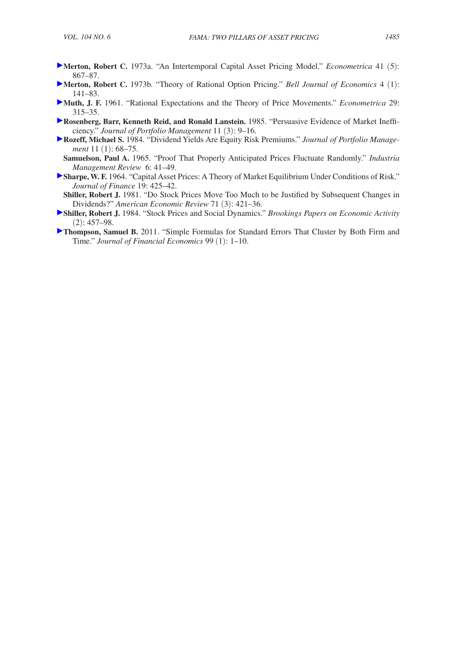- **Merton, Robert C.** 1973a. "An Intertemporal Capital Asset Pricing Model." *Econometrica* 41 (5): 867–87.
- **Merton, Robert C.** 1973b. "Theory of Rational Option Pricing." *Bell Journal of Economics* 4 (1): 141–83.
- **Muth, J. F.** 1961. "Rational Expectations and the Theory of Price Movements." *Econometrica* 29: 315–35.
- **Rosenberg, Barr, Kenneth Reid, and Ronald Lanstein.** 1985. "Persuasive Evidence of Market Inefficiency." *Journal of Portfolio Management* 11 (3): 9–16.
- **Rozeff, Michael S.** 1984. "Dividend Yields Are Equity Risk Premiums." *Journal of Portfolio Management* 11 (1): 68–75.
- **Samuelson, Paul A.** 1965. "Proof That Properly Anticipated Prices Fluctuate Randomly." *Industria Management Review* 6: 41–49.
- **Sharpe, W. F.** 1964. "Capital Asset Prices: A Theory of Market Equilibrium Under Conditions of Risk." *Journal of Finance* 19: 425–42.
	- **Shiller, Robert J.** 1981. "Do Stock Prices Move Too Much to be Justified by Subsequent Changes in Dividends?" *American Economic Review* 71 (3): 421–36.
- **Shiller, Robert J.** 1984. "Stock Prices and Social Dynamics." *Brookings Papers on Economic Activity*  $(2): 457 - 98.$
- **Thompson, Samuel B.** 2011. "Simple Formulas for Standard Errors That Cluster by Both Firm and Time." *Journal of Financial Economics* 99 (1): 1–10.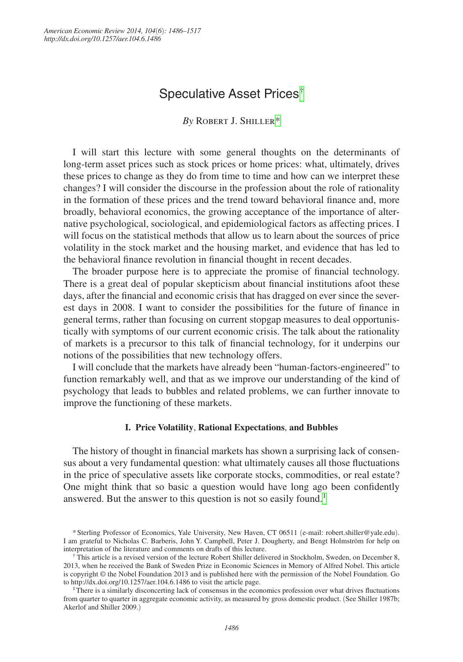# Speculative Asset Prices[†](#page-19-0)

# *By* Robert J. Shiller[\\*](#page-19-1)

I will start this lecture with some general thoughts on the determinants of long-term asset prices such as stock prices or home prices: what, ultimately, drives these prices to change as they do from time to time and how can we interpret these changes? I will consider the discourse in the profession about the role of rationality in the formation of these prices and the trend toward behavioral finance and, more broadly, behavioral economics, the growing acceptance of the importance of alternative psychological, sociological, and epidemiological factors as affecting prices. I will focus on the statistical methods that allow us to learn about the sources of price volatility in the stock market and the housing market, and evidence that has led to the behavioral finance revolution in financial thought in recent decades.

The broader purpose here is to appreciate the promise of financial technology. There is a great deal of popular skepticism about financial institutions afoot these days, after the financial and economic crisis that has dragged on ever since the severest days in 2008. I want to consider the possibilities for the future of finance in general terms, rather than focusing on current stopgap measures to deal opportunistically with symptoms of our current economic crisis. The talk about the rationality of markets is a precursor to this talk of financial technology, for it underpins our notions of the possibilities that new technology offers.

I will conclude that the markets have already been "human-factors-engineered" to function remarkably well, and that as we improve our understanding of the kind of psychology that leads to bubbles and related problems, we can further innovate to improve the functioning of these markets.

# **I. Price Volatility**, **Rational Expectations**, **and Bubbles**

The history of thought in financial markets has shown a surprising lack of consensus about a very fundamental question: what ultimately causes all those fluctuations in the price of speculative assets like corporate stocks, commodities, or real estate? One might think that so basic a question would have long ago been confidently answered. But the answer to this question is not so easily found.<sup>1</sup>

<span id="page-19-1"></span><sup>\*</sup>Sterling Professor of Economics, Yale University, New Haven, CT 06511 (e-mail: [robert.shiller@yale.edu](mailto:robert.shiller@yale.edu)). I am grateful to Nicholas C. Barberis, John Y. Campbell, Peter J. Dougherty, and Bengt Holmström for help on interpretation of the literature and comments on drafts of this lecture.<br>† This article is a revised version of the lecture Robert Shiller delivered in Stockholm, Sweden, on December 8,

<span id="page-19-0"></span><sup>2013,</sup> when he received the Bank of Sweden Prize in Economic Sciences in Memory of Alfred Nobel. This article is copyright © the Nobel Foundation 2013 and is published here with the permission of the Nobel Foundation. Go to<http://dx.doi.org/10.1257/aer.104.6.1486>to visit the article page.

<span id="page-19-2"></span><sup>&</sup>lt;sup>1</sup>There is a similarly disconcerting lack of consensus in the economics profession over what drives fluctuations from quarter to quarter in aggregate economic activity, as measured by gross domestic product. (See Shiller 1987b; Akerlof and Shiller 2009.)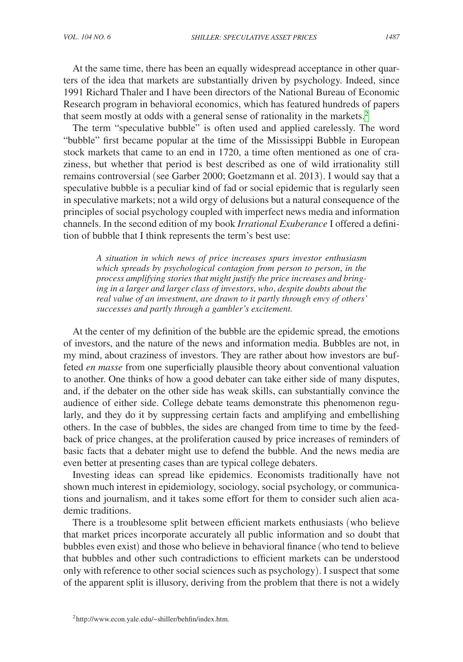At the same time, there has been an equally widespread acceptance in other quarters of the idea that markets are substantially driven by psychology. Indeed, since 1991 Richard Thaler and I have been directors of the National Bureau of Economic Research program in behavioral economics, which has featured hundreds of papers that seem mostly at odds with a general sense of rationality in the markets.<sup>2</sup>

The term "speculative bubble" is often used and applied carelessly. The word "bubble" first became popular at the time of the Mississippi Bubble in European stock markets that came to an end in 1720, a time often mentioned as one of craziness, but whether that period is best described as one of wild irrationality still remains controversial (see Garber 2000; Goetzmann et al. 2013). I would say that a speculative bubble is a peculiar kind of fad or social epidemic that is regularly seen in speculative markets; not a wild orgy of delusions but a natural consequence of the principles of social psychology coupled with imperfect news media and information channels. In the second edition of my book *Irrational Exuberance* I offered a definition of bubble that I think represents the term's best use:

*A situation in which news of price increases spurs investor enthusiasm which spreads by psychological contagion from person to person*, *in the process amplifying stories that might justify the price increases and bringing in a larger and larger class of investors*, *who*, *despite doubts about the real value of an investment*, *are drawn to it partly through envy of others' successes and partly through a gambler's excitement.*

At the center of my definition of the bubble are the epidemic spread, the emotions of investors, and the nature of the news and information media. Bubbles are not, in my mind, about craziness of investors. They are rather about how investors are buffeted *en masse* from one superficially plausible theory about conventional valuation to another. One thinks of how a good debater can take either side of many disputes, and, if the debater on the other side has weak skills, can substantially convince the audience of either side. College debate teams demonstrate this phenomenon regularly, and they do it by suppressing certain facts and amplifying and embellishing others. In the case of bubbles, the sides are changed from time to time by the feedback of price changes, at the proliferation caused by price increases of reminders of basic facts that a debater might use to defend the bubble. And the news media are even better at presenting cases than are typical college debaters.

Investing ideas can spread like epidemics. Economists traditionally have not shown much interest in epidemiology, sociology, social psychology, or communications and journalism, and it takes some effort for them to consider such alien academic traditions.

<span id="page-20-0"></span>There is a troublesome split between efficient markets enthusiasts (who believe that market prices incorporate accurately all public information and so doubt that bubbles even exist) and those who believe in behavioral finance (who tend to believe that bubbles and other such contradictions to efficient markets can be understood only with reference to other social sciences such as psychology). I suspect that some of the apparent split is illusory, deriving from the problem that there is not a widely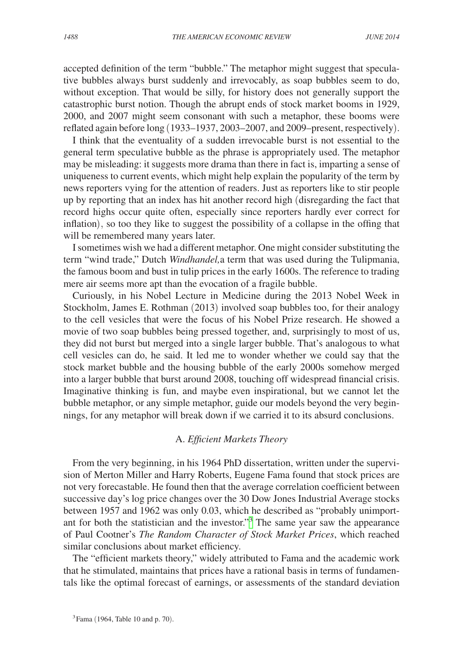accepted definition of the term "bubble." The metaphor might suggest that speculative bubbles always burst suddenly and irrevocably, as soap bubbles seem to do, without exception. That would be silly, for history does not generally support the catastrophic burst notion. Though the abrupt ends of stock market booms in 1929, 2000, and 2007 might seem consonant with such a metaphor, these booms were reflated again before long (1933–1937, 2003–2007, and 2009–present, respectively).

I think that the eventuality of a sudden irrevocable burst is not essential to the general term speculative bubble as the phrase is appropriately used. The metaphor may be misleading: it suggests more drama than there in fact is, imparting a sense of uniqueness to current events, which might help explain the popularity of the term by news reporters vying for the attention of readers. Just as reporters like to stir people up by reporting that an index has hit another record high (disregarding the fact that record highs occur quite often, especially since reporters hardly ever correct for inflation), so too they like to suggest the possibility of a collapse in the offing that will be remembered many years later.

I sometimes wish we had a different metaphor. One might consider substituting the term "wind trade," Dutch *Windhandel,*a term that was used during the Tulipmania, the famous boom and bust in tulip prices in the early 1600s. The reference to trading mere air seems more apt than the evocation of a fragile bubble.

Curiously, in his Nobel Lecture in Medicine during the 2013 Nobel Week in Stockholm, James E. Rothman (2013) involved soap bubbles too, for their analogy to the cell vesicles that were the focus of his Nobel Prize research. He showed a movie of two soap bubbles being pressed together, and, surprisingly to most of us, they did not burst but merged into a single larger bubble. That's analogous to what cell vesicles can do, he said. It led me to wonder whether we could say that the stock market bubble and the housing bubble of the early 2000s somehow merged into a larger bubble that burst around 2008, touching off widespread financial crisis. Imaginative thinking is fun, and maybe even inspirational, but we cannot let the bubble metaphor, or any simple metaphor, guide our models beyond the very beginnings, for any metaphor will break down if we carried it to its absurd conclusions.

## A. *Efficient Markets Theory*

From the very beginning, in his 1964 PhD dissertation, written under the supervision of Merton Miller and Harry Roberts, Eugene Fama found that stock prices are not very forecastable. He found then that the average correlation coefficient between successive day's log price changes over the 30 Dow Jones Industrial Average stocks between 1957 and 1962 was only 0.03, which he described as "probably unimportant for both the statistician and the investor.["3](#page-21-0) The same year saw the appearance of Paul Cootner's *The Random Character of Stock Market Prices*, which reached similar conclusions about market efficiency.

<span id="page-21-0"></span>The "efficient markets theory," widely attributed to Fama and the academic work that he stimulated, maintains that prices have a rational basis in terms of fundamentals like the optimal forecast of earnings, or assessments of the standard deviation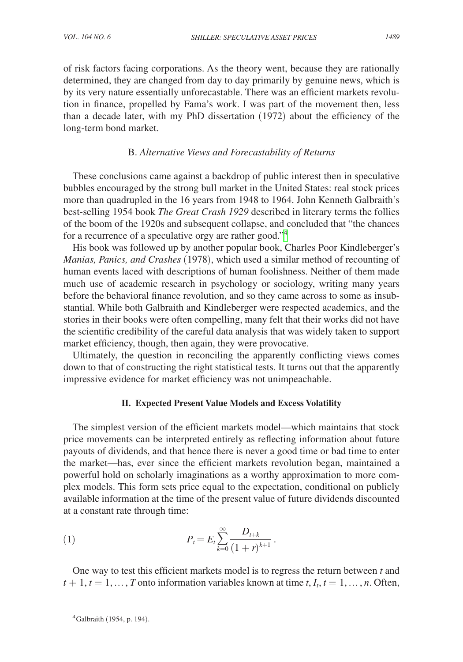of risk factors facing corporations. As the theory went, because they are rationally determined, they are changed from day to day primarily by genuine news, which is by its very nature essentially unforecastable. There was an efficient markets revolution in finance, propelled by Fama's work. I was part of the movement then, less than a decade later, with my PhD dissertation (1972) about the efficiency of the long-term bond market.

#### B. *Alternative Views and Forecastability of Returns*

These conclusions came against a backdrop of public interest then in speculative bubbles encouraged by the strong bull market in the United States: real stock prices more than quadrupled in the 16 years from 1948 to 1964. John Kenneth Galbraith's best-selling 1954 book *The Great Crash 1929* described in literary terms the follies of the boom of the 1920s and subsequent collapse, and concluded that "the chances for a recurrence of a speculative orgy are rather good."[4](#page-22-0)

His book was followed up by another popular book, Charles Poor Kindleberger's *Manias, Panics, and Crashes* (1978), which used a similar method of recounting of human events laced with descriptions of human foolishness. Neither of them made much use of academic research in psychology or sociology, writing many years before the behavioral finance revolution, and so they came across to some as insubstantial. While both Galbraith and Kindleberger were respected academics, and the stories in their books were often compelling, many felt that their works did not have the scientific credibility of the careful data analysis that was widely taken to support market efficiency, though, then again, they were provocative.

Ultimately, the question in reconciling the apparently conflicting views comes down to that of constructing the right statistical tests. It turns out that the apparently impressive evidence for market efficiency was not unimpeachable.

#### **II. Expected Present Value Models and Excess Volatility**

The simplest version of the efficient markets model—which maintains that stock price movements can be interpreted entirely as reflecting information about future payouts of dividends, and that hence there is never a good time or bad time to enter the market—has, ever since the efficient markets revolution began, maintained a powerful hold on scholarly imaginations as a worthy approximation to more complex models. This form sets price equal to the expectation, conditional on publicly available information at the time of the present value of future dividends discounted at a constant rate through time:

available information at the time of the present value  
at a constant rate through time:  
(1) 
$$
P_t = E_t \sum_{k=0}^{\infty} \frac{D_{t+k}}{(1+r)^{k+1}}.
$$

<span id="page-22-0"></span>One way to test this efficient markets model is to regress the return between *t* and  $t+1, t = 1, \ldots, T$  onto information variables known at time  $t, I_t, t = 1, \ldots, n$ . Often,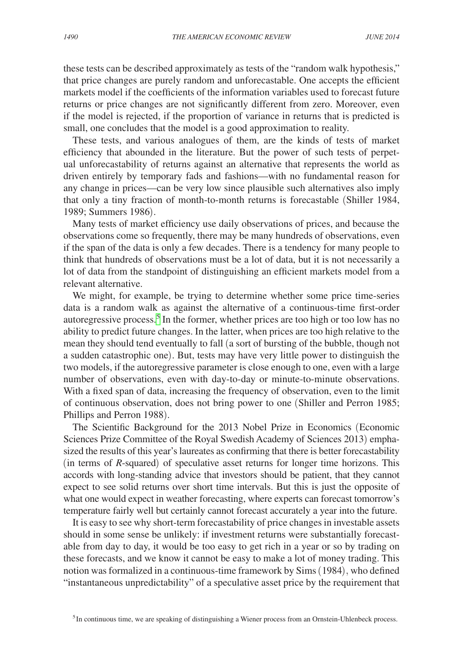these tests can be described approximately as tests of the "random walk hypothesis," that price changes are purely random and unforecastable. One accepts the efficient markets model if the coefficients of the information variables used to forecast future returns or price changes are not significantly different from zero. Moreover, even if the model is rejected, if the proportion of variance in returns that is predicted is small, one concludes that the model is a good approximation to reality.

These tests, and various analogues of them, are the kinds of tests of market efficiency that abounded in the literature. But the power of such tests of perpetual unforecastability of returns against an alternative that represents the world as driven entirely by temporary fads and fashions—with no fundamental reason for any change in prices—can be very low since plausible such alternatives also imply that only a tiny fraction of month-to-month returns is forecastable (Shiller 1984, 1989; Summers 1986).

Many tests of market efficiency use daily observations of prices, and because the observations come so frequently, there may be many hundreds of observations, even if the span of the data is only a few decades. There is a tendency for many people to think that hundreds of observations must be a lot of data, but it is not necessarily a lot of data from the standpoint of distinguishing an efficient markets model from a relevant alternative.

We might, for example, be trying to determine whether some price time-series data is a random walk as against the alternative of a continuous-time first-order autoregressive process.<sup>[5](#page-23-0)</sup> In the former, whether prices are too high or too low has no ability to predict future changes. In the latter, when prices are too high relative to the mean they should tend eventually to fall (a sort of bursting of the bubble, though not a sudden catastrophic one). But, tests may have very little power to distinguish the two models, if the autoregressive parameter is close enough to one, even with a large number of observations, even with day-to-day or minute-to-minute observations. With a fixed span of data, increasing the frequency of observation, even to the limit of continuous observation, does not bring power to one (Shiller and Perron 1985; Phillips and Perron 1988).

The Scientific Background for the 2013 Nobel Prize in Economics (Economic Sciences Prize Committee of the Royal Swedish Academy of Sciences 2013) emphasized the results of this year's laureates as confirming that there is better forecastability (in terms of *R*-squared) of speculative asset returns for longer time horizons. This accords with long-standing advice that investors should be patient, that they cannot expect to see solid returns over short time intervals. But this is just the opposite of what one would expect in weather forecasting, where experts can forecast tomorrow's temperature fairly well but certainly cannot forecast accurately a year into the future.

<span id="page-23-0"></span>It is easy to see why short-term forecastability of price changes in investable assets should in some sense be unlikely: if investment returns were substantially forecastable from day to day, it would be too easy to get rich in a year or so by trading on these forecasts, and we know it cannot be easy to make a lot of money trading. This notion was formalized in a continuous-time framework by Sims (1984), who defined "instantaneous unpredictability" of a speculative asset price by the requirement that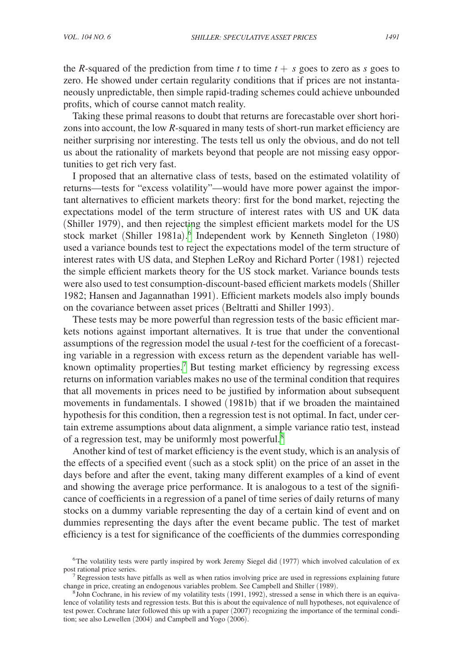the *R*-squared of the prediction from time *t* to time  $t + s$  goes to zero as *s* goes to zero. He showed under certain regularity conditions that if prices are not instantaneously unpredictable, then simple rapid-trading schemes could achieve unbounded profits, which of course cannot match reality.

Taking these primal reasons to doubt that returns are forecastable over short horizons into account, the low *R-*squared in many tests of short-run market efficiency are neither surprising nor interesting. The tests tell us only the obvious, and do not tell us about the rationality of markets beyond that people are not missing easy opportunities to get rich very fast.

I proposed that an alternative class of tests, based on the estimated volatility of returns—tests for "excess volatility"—would have more power against the important alternatives to efficient markets theory: first for the bond market, rejecting the expectations model of the term structure of interest rates with US and UK data (Shiller 1979), and then rejecting the simplest efficient markets model for the US stock market (Shiller 1981a). [6](#page-24-0) Independent work by Kenneth Singleton (1980) used a variance bounds test to reject the expectations model of the term structure of interest rates with US data, and Stephen LeRoy and Richard Porter (1981) rejected the simple efficient markets theory for the US stock market. Variance bounds tests were also used to test consumption-discount-based efficient markets models (Shiller 1982; Hansen and Jagannathan 1991). Efficient markets models also imply bounds on the covariance between asset prices (Beltratti and Shiller 1993).

These tests may be more powerful than regression tests of the basic efficient markets notions against important alternatives. It is true that under the conventional assumptions of the regression model the usual *t*-test for the coefficient of a forecasting variable in a regression with excess return as the dependent variable has well-known optimality properties.<sup>[7](#page-24-1)</sup> But testing market efficiency by regressing excess returns on information variables makes no use of the terminal condition that requires that all movements in prices need to be justified by information about subsequent movements in fundamentals. I showed (1981b) that if we broaden the maintained hypothesis for this condition, then a regression test is not optimal. In fact, under certain extreme assumptions about data alignment, a simple variance ratio test, instead of a regression test, may be uniformly most powerful.<sup>8</sup>

Another kind of test of market efficiency is the event study, which is an analysis of the effects of a specified event (such as a stock split) on the price of an asset in the days before and after the event, taking many different examples of a kind of event and showing the average price performance. It is analogous to a test of the significance of coefficients in a regression of a panel of time series of daily returns of many stocks on a dummy variable representing the day of a certain kind of event and on dummies representing the days after the event became public. The test of market efficiency is a test for significance of the coefficients of the dummies corresponding

<span id="page-24-0"></span> $6$ The volatility tests were partly inspired by work Jeremy Siegel did (1977) which involved calculation of ex post rational price series.

<span id="page-24-1"></span> $\sigma$  Regression tests have pitfalls as well as when ratios involving price are used in regressions explaining future change in price, creating an endogenous variables problem. See Campbell and Shiller (1989).

<span id="page-24-2"></span> $s$  John Cochrane, in his review of my volatility tests (1991, 1992), stressed a sense in which there is an equivalence of volatility tests and regression tests. But this is about the equivalence of null hypotheses, not equivalence of test power. Cochrane later followed this up with a paper (2007) recognizing the importance of the terminal condition; see also Lewellen (2004) and Campbell and Yogo (2006).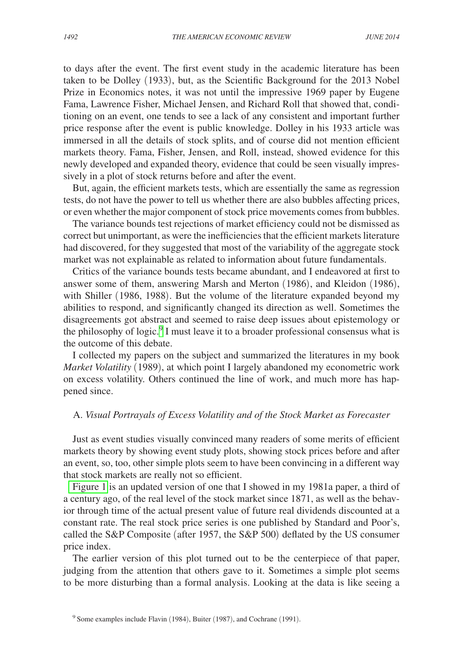to days after the event. The first event study in the academic literature has been taken to be Dolley (1933), but, as the Scientific Background for the 2013 Nobel Prize in Economics notes, it was not until the impressive 1969 paper by Eugene Fama, Lawrence Fisher, Michael Jensen, and Richard Roll that showed that, conditioning on an event, one tends to see a lack of any consistent and important further price response after the event is public knowledge. Dolley in his 1933 article was immersed in all the details of stock splits, and of course did not mention efficient markets theory. Fama, Fisher, Jensen, and Roll, instead, showed evidence for this newly developed and expanded theory, evidence that could be seen visually impressively in a plot of stock returns before and after the event.

But, again, the efficient markets tests, which are essentially the same as regression tests, do not have the power to tell us whether there are also bubbles affecting prices, or even whether the major component of stock price movements comes from bubbles.

The variance bounds test rejections of market efficiency could not be dismissed as correct but unimportant, as were the inefficiencies that the efficient markets literature had discovered, for they suggested that most of the variability of the aggregate stock market was not explainable as related to information about future fundamentals.

Critics of the variance bounds tests became abundant, and I endeavored at first to answer some of them, answering Marsh and Merton (1986), and Kleidon (1986), with Shiller (1986, 1988). But the volume of the literature expanded beyond my abilities to respond, and significantly changed its direction as well. Sometimes the disagreements got abstract and seemed to raise deep issues about epistemology or the philosophy of logic.<sup>[9](#page-25-0)</sup> I must leave it to a broader professional consensus what is the outcome of this debate.

I collected my papers on the subject and summarized the literatures in my book *Market Volatility* (1989), at which point I largely abandoned my econometric work on excess volatility. Others continued the line of work, and much more has happened since.

# A. *Visual Portrayals of Excess Volatility and of the Stock Market as Forecaster*

Just as event studies visually convinced many readers of some merits of efficient markets theory by showing event study plots, showing stock prices before and after an event, so, too, other simple plots seem to have been convincing in a different way that stock markets are really not so efficient.

[Figure 1](#page-26-0) is an updated version of one that I showed in my 1981a paper, a third of a century ago, of the real level of the stock market since 1871, as well as the behavior through time of the actual present value of future real dividends discounted at a constant rate. The real stock price series is one published by Standard and Poor's, called the S&P Composite (after 1957, the S&P 500) deflated by the US consumer price index.

The earlier version of this plot turned out to be the centerpiece of that paper, judging from the attention that others gave to it. Sometimes a simple plot seems to be more disturbing than a formal analysis. Looking at the data is like seeing a

<span id="page-25-0"></span><sup>9</sup> Some examples include Flavin (1984), Buiter (1987), and Cochrane (1991).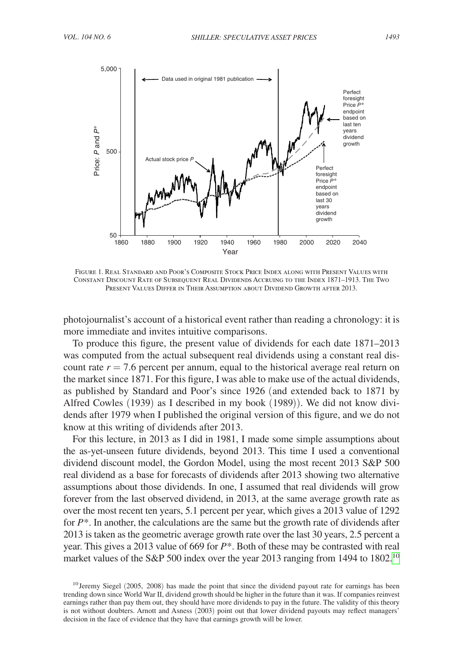<span id="page-26-0"></span>

Figure 1. Real Standard and Poor's Composite Stock Price Index along with Present Values with Constant Discount Rate of Subsequent Real Dividends Accruing to the Index 1871–1913. The Two Present Values Differ in Their Assumption about Dividend Growth after 2013.

photojournalist's account of a historical event rather than reading a chronology: it is more immediate and invites intuitive comparisons.

To produce this figure, the present value of dividends for each date 1871–2013 was computed from the actual subsequent real dividends using a constant real discount rate  $r = 7.6$  percent per annum, equal to the historical average real return on the market since 1871. For this figure, I was able to make use of the actual dividends, as published by Standard and Poor's since 1926 (and extended back to 1871 by Alfred Cowles (1939) as I described in my book (1989)). We did not know dividends after 1979 when I published the original version of this figure, and we do not know at this writing of dividends after 2013.

For this lecture, in 2013 as I did in 1981, I made some simple assumptions about the as-yet-unseen future dividends, beyond 2013. This time I used a conventional dividend discount model, the Gordon Model, using the most recent 2013 S&P 500 real dividend as a base for forecasts of dividends after 2013 showing two alternative assumptions about those dividends. In one, I assumed that real dividends will grow forever from the last observed dividend, in 2013, at the same average growth rate as over the most recent ten years, 5.1 percent per year, which gives a 2013 value of 1292 for *P*\*. In another, the calculations are the same but the growth rate of dividends after 2013 is taken as the geometric average growth rate over the last 30 years, 2.5 percent a year. This gives a 2013 value of 669 for *P*\*. Both of these may be contrasted with real market values of the S&P 500 index over the year 2013 ranging from 1494 to 1802.<sup>10</sup>

<span id="page-26-1"></span> $10$  Jeremy Siegel (2005, 2008) has made the point that since the dividend payout rate for earnings has been trending down since World War II, dividend growth should be higher in the future than it was. If companies reinvest earnings rather than pay them out, they should have more dividends to pay in the future. The validity of this theory is not without doubters. Arnott and Asness (2003) point out that lower dividend payouts may reflect managers' decision in the face of evidence that they have that earnings growth will be lower.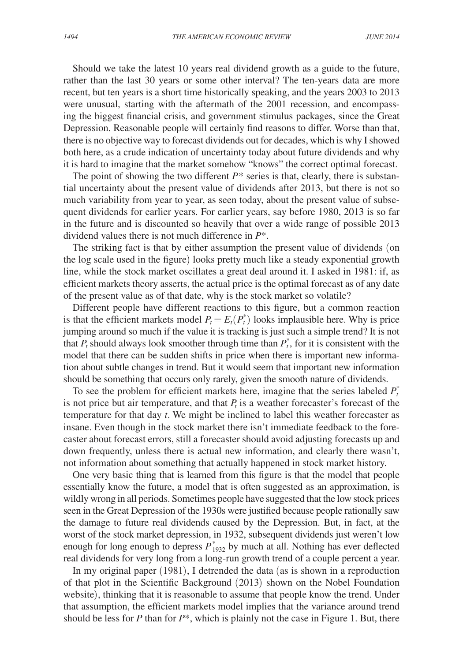Should we take the latest 10 years real dividend growth as a guide to the future, rather than the last 30 years or some other interval? The ten-years data are more recent, but ten years is a short time historically speaking, and the years 2003 to 2013 were unusual, starting with the aftermath of the 2001 recession, and encompassing the biggest financial crisis, and government stimulus packages, since the Great Depression. Reasonable people will certainly find reasons to differ. Worse than that, there is no objective way to forecast dividends out for decades, which is why I showed both here, as a crude indication of uncertainty today about future dividends and why it is hard to imagine that the market somehow "knows" the correct optimal forecast.

The point of showing the two different  $P^*$  series is that, clearly, there is substantial uncertainty about the present value of dividends after 2013, but there is not so much variability from year to year, as seen today, about the present value of subsequent dividends for earlier years. For earlier years, say before 1980, 2013 is so far in the future and is discounted so heavily that over a wide range of possible 2013 dividend values there is not much difference in *P*\*.

The striking fact is that by either assumption the present value of dividends (on the log scale used in the figure) looks pretty much like a steady exponential growth line, while the stock market oscillates a great deal around it. I asked in 1981: if, as efficient markets theory asserts, the actual price is the optimal forecast as of any date of the present value as of that date, why is the stock market so volatile?

Different people have different reactions to this figure, but a common reaction is that the efficient markets model  $P_t = E_t(P_t^*)$  looks implausible here. Why is price jumping around so much if the value it is tracking is just such a simple trend? It is not that  $P_t$  should always look smoother through time than  $P_t^*$ , for it is consistent with the model that there can be sudden shifts in price when there is important new information about subtle changes in trend. But it would seem that important new information should be something that occurs only rarely, given the smooth nature of dividends.

To see the problem for efficient markets here, imagine that the series labeled  $P_t^*$ is not price but air temperature, and that  $P_t$  is a weather forecaster's forecast of the temperature for that day *t*. We might be inclined to label this weather forecaster as insane. Even though in the stock market there isn't immediate feedback to the forecaster about forecast errors, still a forecaster should avoid adjusting forecasts up and down frequently, unless there is actual new information, and clearly there wasn't, not information about something that actually happened in stock market history.

One very basic thing that is learned from this figure is that the model that people essentially know the future, a model that is often suggested as an approximation, is wildly wrong in all periods. Sometimes people have suggested that the low stock prices seen in the Great Depression of the 1930s were justified because people rationally saw the damage to future real dividends caused by the Depression. But, in fact, at the worst of the stock market depression, in 1932, subsequent dividends just weren't low enough for long enough to depress  $P_{1932}^*$  by much at all. Nothing has ever deflected real dividends for very long from a long-run growth trend of a couple percent a year.

In my original paper (1981), I detrended the data (as is shown in a reproduction of that plot in the Scientific Background (2013) shown on the Nobel Foundation website), thinking that it is reasonable to assume that people know the trend. Under that assumption, the efficient markets model implies that the variance around trend should be less for  $P$  than for  $P^*$ , which is plainly not the case in Figure 1. But, there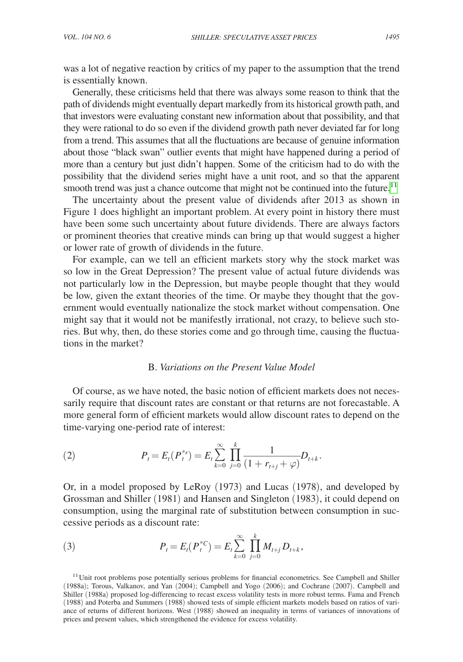was a lot of negative reaction by critics of my paper to the assumption that the trend is essentially known.

Generally, these criticisms held that there was always some reason to think that the path of dividends might eventually depart markedly from its historical growth path, and that investors were evaluating constant new information about that possibility, and that they were rational to do so even if the dividend growth path never deviated far for long from a trend. This assumes that all the fluctuations are because of genuine information about those "black swan" outlier events that might have happened during a period of more than a century but just didn't happen. Some of the criticism had to do with the possibility that the dividend series might have a unit root, and so that the apparent smooth trend was just a chance outcome that might not be continued into the future.<sup>[11](#page-28-0)</sup>

The uncertainty about the present value of dividends after 2013 as shown in Figure 1 does highlight an important problem. At every point in history there must have been some such uncertainty about future dividends. There are always factors or prominent theories that creative minds can bring up that would suggest a higher or lower rate of growth of dividends in the future.

For example, can we tell an efficient markets story why the stock market was so low in the Great Depression? The present value of actual future dividends was not particularly low in the Depression, but maybe people thought that they would be low, given the extant theories of the time. Or maybe they thought that the government would eventually nationalize the stock market without compensation. One might say that it would not be manifestly irrational, not crazy, to believe such stories. But why, then, do these stories come and go through time, causing the fluctuations in the market?

# B. *Variations on the Present Value Model*

Of course, as we have noted, the basic notion of efficient markets does not necessarily require that discount rates are constant or that returns are not forecastable. A more general form of efficient markets would allow discount rates to depend on the time-varying one-period rate of interest: t or that returns and allow discount r<br>  $\frac{1}{(1 + r_{t+j} + \varphi)} D_{t+j}$ <br>
and Lucas (1978)

(2) 
$$
P_t = E_t(P_t^{*r}) = E_t \sum_{k=0}^{\infty} \prod_{j=0}^{k} \frac{1}{(1 + r_{t+j} + \varphi)} D_{t+k}.
$$

Or, in a model proposed by LeRoy (1973) and Lucas (1978), and developed by Grossman and Shiller (1981) and Hansen and Singleton (1983), it could depend on consumption, using the marginal rate of substitution between consumption in successive periods as a discount rate:

(3) 
$$
P_t = E_t(P_t^{*C}) = E_t \sum_{k=0}^{\infty} \prod_{j=0}^{k} M_{t+j} D_{t+k},
$$

<span id="page-28-0"></span> $11$ Unit root problems pose potentially serious problems for financial econometrics. See Campbell and Shiller (1988a); Torous, Valkanov, and Yan (2004); Campbell and Yogo (2006); and Cochrane (2007). Campbell and Shiller (1988a) proposed log-differencing to recast excess volatility tests in more robust terms. Fama and French (1988) and Poterba and Summers (1988) showed tests of simple efficient markets models based on ratios of variance of returns of different horizons. West (1988) showed an inequality in terms of variances of innovations of prices and present values, which strengthened the evidence for excess volatility.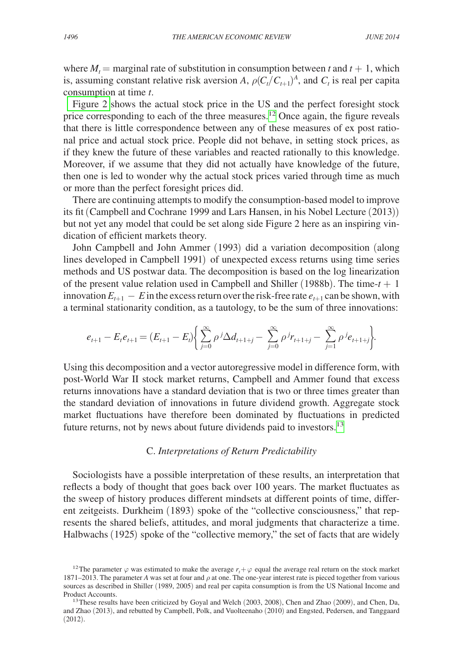where  $M_t$  = marginal rate of substitution in consumption between *t* and  $t + 1$ , which is, assuming constant relative risk aversion *A*,  $\rho(C_t/C_{t+1})^A$ , and  $C_t$  is real per capita consumption at time *t*.

[Figure 2](#page-30-0) shows the actual stock price in the US and the perfect foresight stock price corresponding to each of the three measures.<sup>[12](#page-29-0)</sup> Once again, the figure reveals that there is little correspondence between any of these measures of ex post rational price and actual stock price. People did not behave, in setting stock prices, as if they knew the future of these variables and reacted rationally to this knowledge. Moreover, if we assume that they did not actually have knowledge of the future, then one is led to wonder why the actual stock prices varied through time as much or more than the perfect foresight prices did.

There are continuing attempts to modify the consumption-based model to improve its fit (Campbell and Cochrane 1999 and Lars Hansen, in his Nobel Lecture (2013)) but not yet any model that could be set along side Figure 2 here as an inspiring vindication of efficient markets theory.

John Campbell and John Ammer (1993) did a variation decomposition (along lines developed in Campbell 1991) of unexpected excess returns using time series methods and US postwar data. The decomposition is based on the log linearization of the present value relation used in Campbell and Shiller (1988b). The time- $t + 1$ innovation  $E_{t+1} - E$  in the excess return over the risk-free rate  $e_{t+1}$  can be shown, with a terminal stationarity condition, as a tautology, to be the sum of three innovations:

$$
e_{t+1} - E_t e_{t+1} = (E_{t+1} - E_t) \bigg\{ \sum_{j=0}^{\infty} \rho^j \Delta d_{t+1+j} - \sum_{j=0}^{\infty} \rho^j r_{t+1+j} - \sum_{j=1}^{\infty} \rho^j e_{t+1+j} \bigg\}.
$$

Using this decomposition and a vector autoregressive model in difference form, with post-World War II stock market returns, Campbell and Ammer found that excess returns innovations have a standard deviation that is two or three times greater than the standard deviation of innovations in future dividend growth. Aggregate stock market fluctuations have therefore been dominated by fluctuations in predicted future returns, not by news about future dividends paid to investors.<sup>13</sup>

# C. *Interpretations of Return Predictability*

Sociologists have a possible interpretation of these results, an interpretation that reflects a body of thought that goes back over 100 years. The market fluctuates as the sweep of history produces different mindsets at different points of time, different zeitgeists. Durkheim (1893) spoke of the "collective consciousness," that represents the shared beliefs, attitudes, and moral judgments that characterize a time. Halbwachs (1925) spoke of the "collective memory," the set of facts that are widely

<span id="page-29-0"></span><sup>&</sup>lt;sup>12</sup>The parameter  $\varphi$  was estimated to make the average  $r_t + \varphi$  equal the average real return on the stock market 1871–2013. The parameter A was set at four and  $\rho$  at one. The one-year interest rate is pieced together from various sources as described in Shiller (1989, 2005) and real per capita consumption is from the US National Income and<br>Product Accounts

<span id="page-29-1"></span><sup>&</sup>lt;sup>13</sup> These results have been criticized by Goyal and Welch (2003, 2008), Chen and Zhao (2009), and Chen, Da, and Zhao (2013), and rebutted by Campbell, Polk, and Vuolteenaho (2010) and Engsted, Pedersen, and Tanggaard (2012).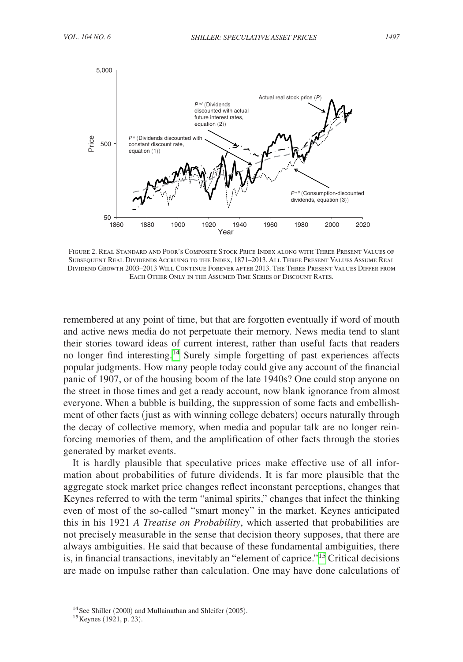<span id="page-30-0"></span>

Figure 2. Real Standard and Poor's Composite Stock Price Index along with Three Present Values of Subsequent Real Dividends Accruing to the Index, 1871–2013. All Three Present Values Assume Real Dividend Growth 2003–2013 Will Continue Forever after 2013. The Three Present Values Differ from Each Other Only in the Assumed Time Series of Discount Rates.

remembered at any point of time, but that are forgotten eventually if word of mouth and active news media do not perpetuate their memory. News media tend to slant their stories toward ideas of current interest, rather than useful facts that readers no longer find interesting.[14](#page-30-1) Surely simple forgetting of past experiences affects popular judgments. How many people today could give any account of the financial panic of 1907, or of the housing boom of the late 1940s? One could stop anyone on the street in those times and get a ready account, now blank ignorance from almost everyone. When a bubble is building, the suppression of some facts and embellishment of other facts (just as with winning college debaters) occurs naturally through the decay of collective memory, when media and popular talk are no longer reinforcing memories of them, and the amplification of other facts through the stories generated by market events.

It is hardly plausible that speculative prices make effective use of all information about probabilities of future dividends. It is far more plausible that the aggregate stock market price changes reflect inconstant perceptions, changes that Keynes referred to with the term "animal spirits," changes that infect the thinking even of most of the so-called "smart money" in the market. Keynes anticipated this in his 1921 *A Treatise on Probability*, which asserted that probabilities are not precisely measurable in the sense that decision theory supposes, that there are always ambiguities. He said that because of these fundamental ambiguities, there is, in financial transactions, inevitably an "element of caprice."[15](#page-30-2) Critical decisions are made on impulse rather than calculation. One may have done calculations of

<span id="page-30-1"></span><sup>&</sup>lt;sup>14</sup>See Shiller (2000) and Mullainathan and Shleifer (2005).<br><sup>15</sup>Keynes (1921, p. 23).

<span id="page-30-2"></span>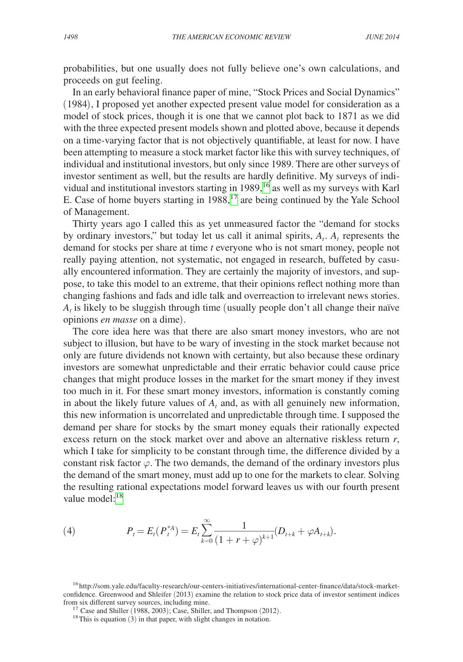probabilities, but one usually does not fully believe one's own calculations, and proceeds on gut feeling.

In an early behavioral finance paper of mine, "Stock Prices and Social Dynamics" (1984), I proposed yet another expected present value model for consideration as a model of stock prices, though it is one that we cannot plot back to 1871 as we did with the three expected present models shown and plotted above, because it depends on a time-varying factor that is not objectively quantifiable, at least for now. I have been attempting to measure a stock market factor like this with survey techniques, of individual and institutional investors, but only since 1989. There are other surveys of investor sentiment as well, but the results are hardly definitive. My surveys of individual and institutional investors starting in 1989, $16$  as well as my surveys with Karl E. Case of home buyers starting in  $1988$ ,<sup>17</sup> are being continued by the Yale School of Management.

Thirty years ago I called this as yet unmeasured factor the "demand for stocks by ordinary investors," but today let us call it animal spirits,  $A_t$ ,  $A_t$ , represents the demand for stocks per share at time *t* everyone who is not smart money, people not really paying attention, not systematic, not engaged in research, buffeted by casually encountered information. They are certainly the majority of investors, and suppose, to take this model to an extreme, that their opinions reflect nothing more than changing fashions and fads and idle talk and overreaction to irrelevant news stories. *At* is likely to be sluggish through time (usually people don't all change their naïve opinions *en masse* on a dime).

The core idea here was that there are also smart money investors, who are not subject to illusion, but have to be wary of investing in the stock market because not only are future dividends not known with certainty, but also because these ordinary investors are somewhat unpredictable and their erratic behavior could cause price changes that might produce losses in the market for the smart money if they invest too much in it. For these smart money investors, information is constantly coming in about the likely future values of *At* and, as with all genuinely new information, this new information is uncorrelated and unpredictable through time. I supposed the demand per share for stocks by the smart money equals their rationally expected excess return on the stock market over and above an alternative riskless return *r*, which I take for simplicity to be constant through time, the difference divided by a constant risk factor  $\varphi$ . The two demands, the demand of the ordinary investors plus the demand of the smart money, must add up to one for the markets to clear. Solving the resulting rational expectations model forward leaves us with our fourth present value model:<sup>[18](#page-31-2)</sup>

(4) 
$$
P_t = E_t(P_t^{*A}) = E_t \sum_{k=0}^{\infty} \frac{1}{(1+r+\varphi)^{k+1}} (D_{t+k} + \varphi A_{t+k}).
$$

<span id="page-31-0"></span><sup>16</sup> [http://som.yale.edu/faculty-research/our-centers-initiatives/international-center-finance/data/stock-market](http://som.yale.edu/faculty-research/our-centers-initiatives/international-center-finance/data/stock-market-confidence)[confidence.](http://som.yale.edu/faculty-research/our-centers-initiatives/international-center-finance/data/stock-market-confidence) Greenwood and Shleifer (2013) examine the relation to stock price data of investor sentiment indices from six different survey sources, including mine.

<span id="page-31-1"></span><sup>&</sup>lt;sup>17</sup> Case and Shiller (1988, 2003); Case, Shiller, and Thompson (2012). <sup>18</sup> This is equation (3) in that paper, with slight changes in notation.

<span id="page-31-2"></span>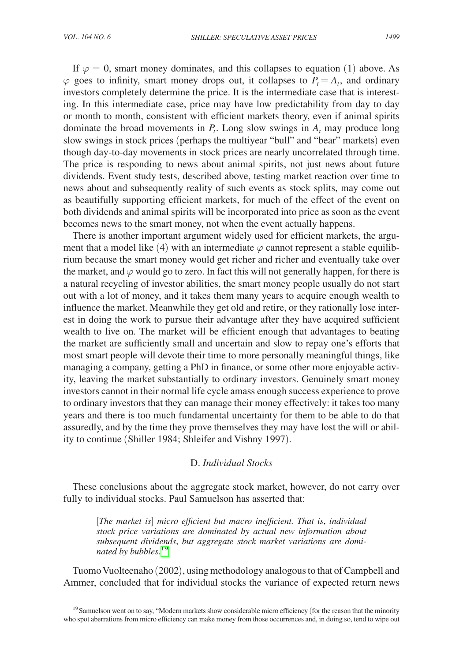If  $\varphi = 0$ , smart money dominates, and this collapses to equation (1) above. As  $\varphi$  goes to infinity, smart money drops out, it collapses to  $P_t = A_t$ , and ordinary investors completely determine the price. It is the intermediate case that is interesting. In this intermediate case, price may have low predictability from day to day or month to month, consistent with efficient markets theory, even if animal spirits dominate the broad movements in  $P_t$ . Long slow swings in  $A_t$  may produce long slow swings in stock prices (perhaps the multiyear "bull" and "bear" markets) even though day-to-day movements in stock prices are nearly uncorrelated through time. The price is responding to news about animal spirits, not just news about future dividends. Event study tests, described above, testing market reaction over time to news about and subsequently reality of such events as stock splits, may come out as beautifully supporting efficient markets, for much of the effect of the event on both dividends and animal spirits will be incorporated into price as soon as the event becomes news to the smart money, not when the event actually happens.

There is another important argument widely used for efficient markets, the argument that a model like (4) with an intermediate  $\varphi$  cannot represent a stable equilibrium because the smart money would get richer and richer and eventually take over the market, and  $\varphi$  would go to zero. In fact this will not generally happen, for there is a natural recycling of investor abilities, the smart money people usually do not start out with a lot of money, and it takes them many years to acquire enough wealth to influence the market. Meanwhile they get old and retire, or they rationally lose interest in doing the work to pursue their advantage after they have acquired sufficient wealth to live on. The market will be efficient enough that advantages to beating the market are sufficiently small and uncertain and slow to repay one's efforts that most smart people will devote their time to more personally meaningful things, like managing a company, getting a PhD in finance, or some other more enjoyable activity, leaving the market substantially to ordinary investors. Genuinely smart money investors cannot in their normal life cycle amass enough success experience to prove to ordinary investors that they can manage their money effectively: it takes too many years and there is too much fundamental uncertainty for them to be able to do that assuredly, and by the time they prove themselves they may have lost the will or ability to continue (Shiller 1984; Shleifer and Vishny 1997).

# D. *Individual Stocks*

These conclusions about the aggregate stock market, however, do not carry over fully to individual stocks. Paul Samuelson has asserted that:

[*The market is*] *micro efficient but macro inefficient. That is*, *individual stock price variations are dominated by actual new information about subsequent dividends*, *but aggregate stock market variations are dominated by bubbles.*[19](#page-32-0)

Tuomo Vuolteenaho (2002), using methodology analogous to that of Campbell and Ammer, concluded that for individual stocks the variance of expected return news

<span id="page-32-0"></span><sup>19</sup>Samuelson went on to say, "Modern markets show considerable micro efficiency (for the reason that the minority who spot aberrations from micro efficiency can make money from those occurrences and, in doing so, tend to wipe out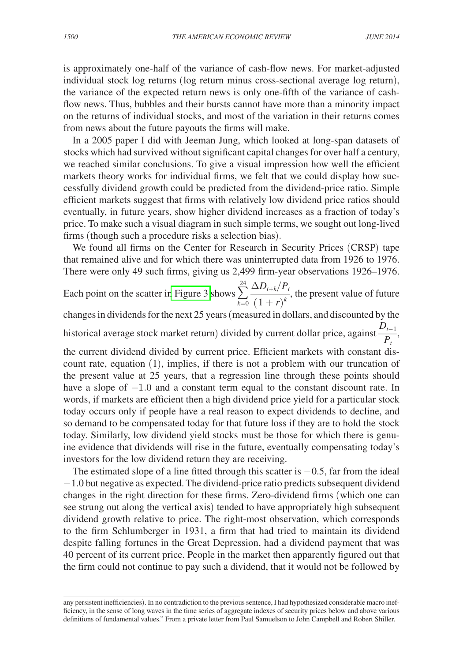is approximately one-half of the variance of cash-flow news. For market-adjusted individual stock log returns (log return minus cross-sectional average log return), the variance of the expected return news is only one-fifth of the variance of cashflow news. Thus, bubbles and their bursts cannot have more than a minority impact on the returns of individual stocks, and most of the variation in their returns comes from news about the future payouts the firms will make.

In a 2005 paper I did with Jeeman Jung, which looked at long-span datasets of stocks which had survived without significant capital changes for over half a century, we reached similar conclusions. To give a visual impression how well the efficient markets theory works for individual firms, we felt that we could display how successfully dividend growth could be predicted from the dividend-price ratio. Simple efficient markets suggest that firms with relatively low dividend price ratios should eventually, in future years, show higher dividend increases as a fraction of today's price. To make such a visual diagram in such simple terms, we sought out long-lived firms (though such a procedure risks a selection bias).

We found all firms on the Center for Research in Security Prices (CRSP) tape that remained alive and for which there was uninterrupted data from 1926 to 1976. There were only 49 such firms, giving us 2,499 firm-year observations 1926–1976.

Each point on the scatter i[n Figure 3](#page-34-0) shows  $\sum_{k=0}$ 24 minterrupto<br>9 firm-yea<br> $\frac{\Delta D_{t+k}}{(1+r)^k}$ <br>sured in do  $\Delta D_{t+k}/P_{t}$  $\frac{2\epsilon}{(1+r)^k}$ , the present value of future changes in dividends for the next 25 years (measured in dollars, and discounted by the bistorical average stock market return) divided by current dollar price, against  $\frac{D_{t-1}}{P_t}$  $\frac{t-1}{P_t}$ the current dividend divided by current price. Efficient markets with constant discount rate, equation (1), implies, if there is not a problem with our truncation of the present value at 25 years, that a regression line through these points should have a slope of  $-1.0$  and a constant term equal to the constant discount rate. In words, if markets are efficient then a high dividend price yield for a particular stock today occurs only if people have a real reason to expect dividends to decline, and

so demand to be compensated today for that future loss if they are to hold the stock today. Similarly, low dividend yield stocks must be those for which there is genuine evidence that dividends will rise in the future, eventually compensating today's investors for the low dividend return they are receiving.

The estimated slope of a line fitted through this scatter is  $-0.5$ , far from the ideal −1.0 but negative as expected. The dividend-price ratio predicts subsequent dividend changes in the right direction for these firms. Zero-dividend firms (which one can see strung out along the vertical axis) tended to have appropriately high subsequent dividend growth relative to price. The right-most observation, which corresponds to the firm Schlumberger in 1931, a firm that had tried to maintain its dividend despite falling fortunes in the Great Depression, had a dividend payment that was 40 percent of its current price. People in the market then apparently figured out that the firm could not continue to pay such a dividend, that it would not be followed by

any persistent inefficiencies). In no contradiction to the previous sentence, I had hypothesized considerable macro inefficiency, in the sense of long waves in the time series of aggregate indexes of security prices below and above various definitions of fundamental values." From a private letter from Paul Samuelson to John Campbell and Robert Shiller.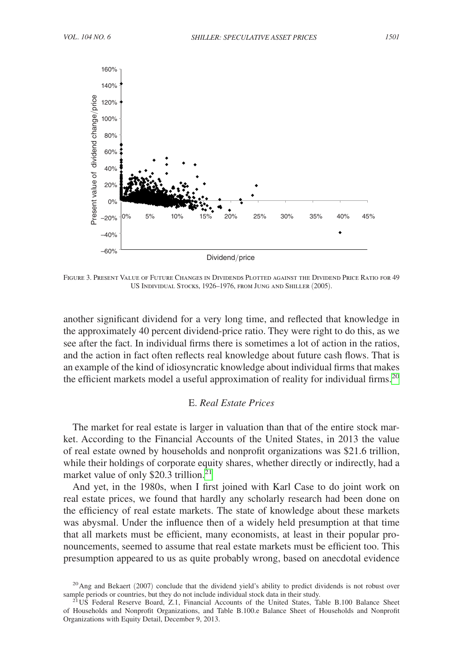<span id="page-34-0"></span>

Figure 3. Present Value of Future Changes in Dividends Plotted against the Dividend Price Ratio for 49 US Individual Stocks, 1926–1976, from Jung and Shiller (2005).

another significant dividend for a very long time, and reflected that knowledge in the approximately 40 percent dividend-price ratio. They were right to do this, as we see after the fact. In individual firms there is sometimes a lot of action in the ratios, and the action in fact often reflects real knowledge about future cash flows. That is an example of the kind of idiosyncratic knowledge about individual firms that makes the efficient markets model a useful approximation of reality for individual firms.<sup>20</sup>

# E. *Real Estate Prices*

The market for real estate is larger in valuation than that of the entire stock market. According to the Financial Accounts of the United States, in 2013 the value of real estate owned by households and nonprofit organizations was \$21.6 trillion, while their holdings of corporate equity shares, whether directly or indirectly, had a market value of only  $$20.3$  trillion.<sup>[21](#page-34-2)</sup>

And yet, in the 1980s, when I first joined with Karl Case to do joint work on real estate prices, we found that hardly any scholarly research had been done on the efficiency of real estate markets. The state of knowledge about these markets was abysmal. Under the influence then of a widely held presumption at that time that all markets must be efficient, many economists, at least in their popular pronouncements, seemed to assume that real estate markets must be efficient too. This presumption appeared to us as quite probably wrong, based on anecdotal evidence

<span id="page-34-1"></span> $^{20}$ Ang and Bekaert (2007) conclude that the dividend yield's ability to predict dividends is not robust over sample periods or countries, but they do not include individual stock data in their study.

<span id="page-34-2"></span><sup>&</sup>lt;sup>21</sup> US Federal Reserve Board, Z.1, Financial Accounts of the United States, Table B.100 Balance Sheet of Households and Nonprofit Organizations, and Table B.100.e Balance Sheet of Households and Nonprofit Organizations with Equity Detail, December 9, 2013.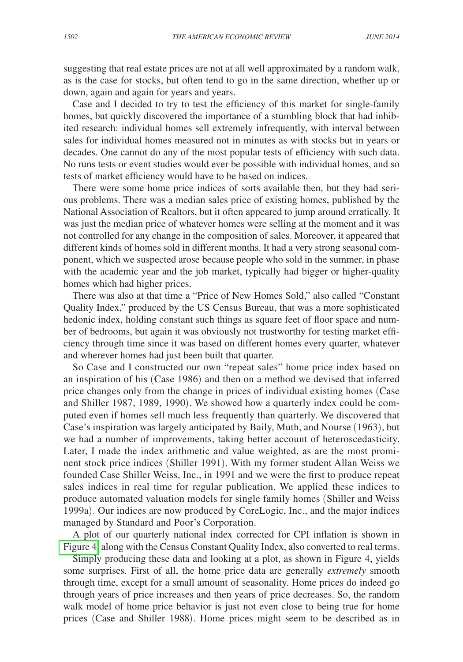suggesting that real estate prices are not at all well approximated by a random walk, as is the case for stocks, but often tend to go in the same direction, whether up or down, again and again for years and years.

Case and I decided to try to test the efficiency of this market for single-family homes, but quickly discovered the importance of a stumbling block that had inhibited research: individual homes sell extremely infrequently, with interval between sales for individual homes measured not in minutes as with stocks but in years or decades. One cannot do any of the most popular tests of efficiency with such data. No runs tests or event studies would ever be possible with individual homes, and so tests of market efficiency would have to be based on indices.

There were some home price indices of sorts available then, but they had serious problems. There was a median sales price of existing homes, published by the National Association of Realtors, but it often appeared to jump around erratically. It was just the median price of whatever homes were selling at the moment and it was not controlled for any change in the composition of sales. Moreover, it appeared that different kinds of homes sold in different months. It had a very strong seasonal component, which we suspected arose because people who sold in the summer, in phase with the academic year and the job market, typically had bigger or higher-quality homes which had higher prices.

There was also at that time a "Price of New Homes Sold," also called "Constant Quality Index," produced by the US Census Bureau, that was a more sophisticated hedonic index, holding constant such things as square feet of floor space and number of bedrooms, but again it was obviously not trustworthy for testing market efficiency through time since it was based on different homes every quarter, whatever and wherever homes had just been built that quarter.

So Case and I constructed our own "repeat sales" home price index based on an inspiration of his (Case 1986) and then on a method we devised that inferred price changes only from the change in prices of individual existing homes (Case and Shiller 1987, 1989, 1990). We showed how a quarterly index could be computed even if homes sell much less frequently than quarterly. We discovered that Case's inspiration was largely anticipated by Baily, Muth, and Nourse (1963), but we had a number of improvements, taking better account of heteroscedasticity. Later, I made the index arithmetic and value weighted, as are the most prominent stock price indices (Shiller 1991). With my former student Allan Weiss we founded Case Shiller Weiss, Inc., in 1991 and we were the first to produce repeat sales indices in real time for regular publication. We applied these indices to produce automated valuation models for single family homes (Shiller and Weiss 1999a). Our indices are now produced by CoreLogic, Inc., and the major indices managed by Standard and Poor's Corporation.

A plot of our quarterly national index corrected for CPI inflation is shown in [Figure 4,](#page-36-0) along with the Census Constant Quality Index, also converted to real terms.

Simply producing these data and looking at a plot, as shown in Figure 4, yields some surprises. First of all, the home price data are generally *extremely* smooth through time, except for a small amount of seasonality. Home prices do indeed go through years of price increases and then years of price decreases. So, the random walk model of home price behavior is just not even close to being true for home prices (Case and Shiller 1988). Home prices might seem to be described as in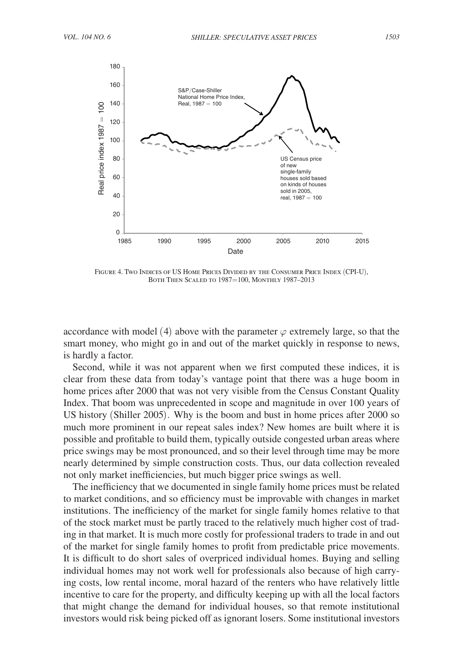<span id="page-36-0"></span>

Figure 4. Two Indices of US Home Prices Divided by the Consumer Price Index (CPI-U), BOTH THEN SCALED TO 1987=100, MONTHLY 1987-2013

accordance with model (4) above with the parameter  $\varphi$  extremely large, so that the smart money, who might go in and out of the market quickly in response to news, is hardly a factor.

Second, while it was not apparent when we first computed these indices, it is clear from these data from today's vantage point that there was a huge boom in home prices after 2000 that was not very visible from the Census Constant Quality Index. That boom was unprecedented in scope and magnitude in over 100 years of US history (Shiller 2005). Why is the boom and bust in home prices after 2000 so much more prominent in our repeat sales index? New homes are built where it is possible and profitable to build them, typically outside congested urban areas where price swings may be most pronounced, and so their level through time may be more nearly determined by simple construction costs. Thus, our data collection revealed not only market inefficiencies, but much bigger price swings as well.

The inefficiency that we documented in single family home prices must be related to market conditions, and so efficiency must be improvable with changes in market institutions. The inefficiency of the market for single family homes relative to that of the stock market must be partly traced to the relatively much higher cost of trading in that market. It is much more costly for professional traders to trade in and out of the market for single family homes to profit from predictable price movements. It is difficult to do short sales of overpriced individual homes. Buying and selling individual homes may not work well for professionals also because of high carrying costs, low rental income, moral hazard of the renters who have relatively little incentive to care for the property, and difficulty keeping up with all the local factors that might change the demand for individual houses, so that remote institutional investors would risk being picked off as ignorant losers. Some institutional investors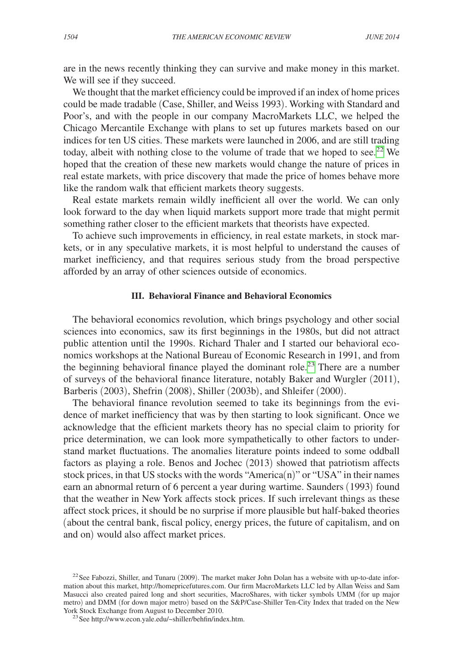are in the news recently thinking they can survive and make money in this market. We will see if they succeed.

We thought that the market efficiency could be improved if an index of home prices could be made tradable (Case, Shiller, and Weiss 1993). Working with Standard and Poor's, and with the people in our company MacroMarkets LLC, we helped the Chicago Mercantile Exchange with plans to set up futures markets based on our indices for ten US cities. These markets were launched in 2006, and are still trading today, albeit with nothing close to the volume of trade that we hoped to see.<sup>22</sup> We hoped that the creation of these new markets would change the nature of prices in real estate markets, with price discovery that made the price of homes behave more like the random walk that efficient markets theory suggests.

Real estate markets remain wildly inefficient all over the world. We can only look forward to the day when liquid markets support more trade that might permit something rather closer to the efficient markets that theorists have expected.

To achieve such improvements in efficiency, in real estate markets, in stock markets, or in any speculative markets, it is most helpful to understand the causes of market inefficiency, and that requires serious study from the broad perspective afforded by an array of other sciences outside of economics.

#### **III. Behavioral Finance and Behavioral Economics**

The behavioral economics revolution, which brings psychology and other social sciences into economics, saw its first beginnings in the 1980s, but did not attract public attention until the 1990s. Richard Thaler and I started our behavioral economics workshops at the National Bureau of Economic Research in 1991, and from the beginning behavioral finance played the dominant role.<sup>23</sup> There are a number of surveys of the behavioral finance literature, notably Baker and Wurgler (2011), Barberis (2003), Shefrin (2008), Shiller (2003b), and Shleifer (2000).

The behavioral finance revolution seemed to take its beginnings from the evidence of market inefficiency that was by then starting to look significant. Once we acknowledge that the efficient markets theory has no special claim to priority for price determination, we can look more sympathetically to other factors to understand market fluctuations. The anomalies literature points indeed to some oddball factors as playing a role. Benos and Jochec (2013) showed that patriotism affects stock prices, in that US stocks with the words "America(n)" or "USA" in their names earn an abnormal return of 6 percent a year during wartime. Saunders (1993) found that the weather in New York affects stock prices. If such irrelevant things as these affect stock prices, it should be no surprise if more plausible but half-baked theories (about the central bank, fiscal policy, energy prices, the future of capitalism, and on and on) would also affect market prices.

<span id="page-37-0"></span> $22$ See Fabozzi, Shiller, and Tunaru (2009). The market maker John Dolan has a website with up-to-date information about this market, <http://homepricefutures.com>. Our firm MacroMarkets LLC led by Allan Weiss and Sam Masucci also created paired long and short securities, MacroShares, with ticker symbols UMM (for up major metro) and DMM (for down major metro) based on the S&P/Case-Shiller Ten-City Index that traded on the New<br>York Stock Exchange from August to December 2010.

<span id="page-37-1"></span><sup>&</sup>lt;sup>23</sup> See [http://www.econ.yale.edu/~shiller/behfin/index.htm.](http://www.econ.yale.edu/~shiller/behfin/index.htm)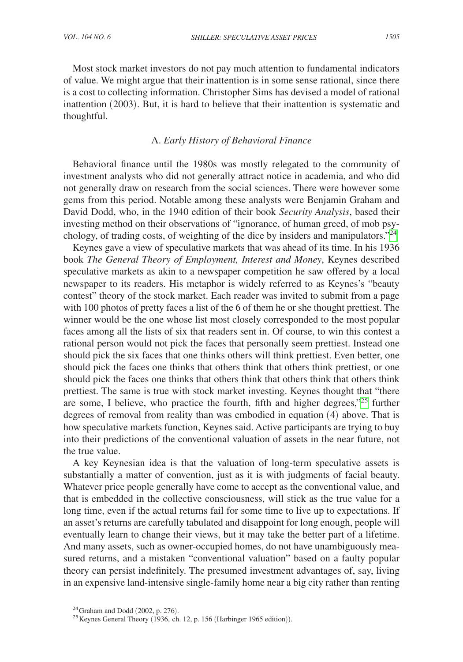Most stock market investors do not pay much attention to fundamental indicators of value. We might argue that their inattention is in some sense rational, since there is a cost to collecting information. Christopher Sims has devised a model of rational inattention (2003). But, it is hard to believe that their inattention is systematic and thoughtful.

# A. *Early History of Behavioral Finance*

Behavioral finance until the 1980s was mostly relegated to the community of investment analysts who did not generally attract notice in academia, and who did not generally draw on research from the social sciences. There were however some gems from this period. Notable among these analysts were Benjamin Graham and David Dodd, who, in the 1940 edition of their book *Security Analysis*, based their investing method on their observations of "ignorance, of human greed, of mob psychology, of trading costs, of weighting of the dice by insiders and manipulators.["24](#page-38-0)

Keynes gave a view of speculative markets that was ahead of its time. In his 1936 book *The General Theory of Employment, Interest and Money*, Keynes described speculative markets as akin to a newspaper competition he saw offered by a local newspaper to its readers. His metaphor is widely referred to as Keynes's "beauty contest" theory of the stock market. Each reader was invited to submit from a page with 100 photos of pretty faces a list of the 6 of them he or she thought prettiest. The winner would be the one whose list most closely corresponded to the most popular faces among all the lists of six that readers sent in. Of course, to win this contest a rational person would not pick the faces that personally seem prettiest. Instead one should pick the six faces that one thinks others will think prettiest. Even better, one should pick the faces one thinks that others think that others think prettiest, or one should pick the faces one thinks that others think that others think that others think prettiest. The same is true with stock market investing. Keynes thought that "there are some, I believe, who practice the fourth, fifth and higher degrees,"[25](#page-38-1) further degrees of removal from reality than was embodied in equation (4) above. That is how speculative markets function, Keynes said. Active participants are trying to buy into their predictions of the conventional valuation of assets in the near future, not the true value.

A key Keynesian idea is that the valuation of long-term speculative assets is substantially a matter of convention, just as it is with judgments of facial beauty. Whatever price people generally have come to accept as the conventional value, and that is embedded in the collective consciousness, will stick as the true value for a long time, even if the actual returns fail for some time to live up to expectations. If an asset's returns are carefully tabulated and disappoint for long enough, people will eventually learn to change their views, but it may take the better part of a lifetime. And many assets, such as owner-occupied homes, do not have unambiguously measured returns, and a mistaken "conventional valuation" based on a faulty popular theory can persist indefinitely. The presumed investment advantages of, say, living in an expensive land-intensive single-family home near a big city rather than renting

<span id="page-38-1"></span><span id="page-38-0"></span>

<sup>&</sup>lt;sup>24</sup> Graham and Dodd (2002, p. 276).<br><sup>25</sup> Keynes General Theory (1936, ch. 12, p. 156 (Harbinger 1965 edition)).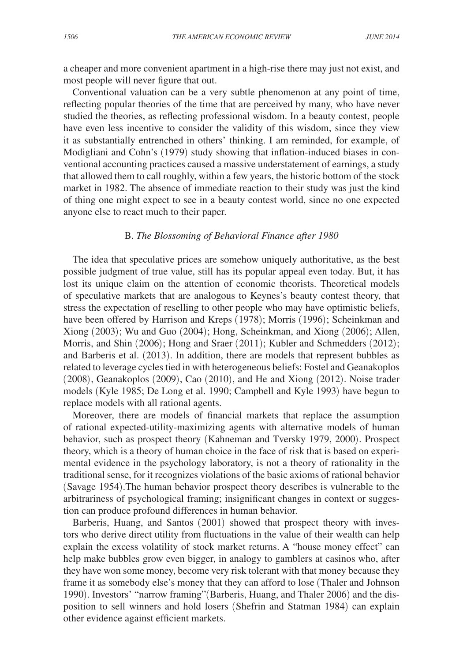a cheaper and more convenient apartment in a high-rise there may just not exist, and most people will never figure that out.

Conventional valuation can be a very subtle phenomenon at any point of time, reflecting popular theories of the time that are perceived by many, who have never studied the theories, as reflecting professional wisdom. In a beauty contest, people have even less incentive to consider the validity of this wisdom, since they view it as substantially entrenched in others' thinking. I am reminded, for example, of Modigliani and Cohn's (1979) study showing that inflation-induced biases in conventional accounting practices caused a massive understatement of earnings, a study that allowed them to call roughly, within a few years, the historic bottom of the stock market in 1982. The absence of immediate reaction to their study was just the kind of thing one might expect to see in a beauty contest world, since no one expected anyone else to react much to their paper.

#### B. *The Blossoming of Behavioral Finance after 1980*

The idea that speculative prices are somehow uniquely authoritative, as the best possible judgment of true value, still has its popular appeal even today. But, it has lost its unique claim on the attention of economic theorists. Theoretical models of speculative markets that are analogous to Keynes's beauty contest theory, that stress the expectation of reselling to other people who may have optimistic beliefs, have been offered by Harrison and Kreps (1978); Morris (1996); Scheinkman and Xiong (2003); Wu and Guo (2004); Hong, Scheinkman, and Xiong (2006); Allen, Morris, and Shin (2006); Hong and Sraer (2011); Kubler and Schmedders (2012); and Barberis et al. (2013). In addition, there are models that represent bubbles as related to leverage cycles tied in with heterogeneous beliefs: Fostel and Geanakoplos (2008), Geanakoplos (2009), Cao (2010), and He and Xiong (2012). Noise trader models (Kyle 1985; De Long et al. 1990; Campbell and Kyle 1993) have begun to replace models with all rational agents.

Moreover, there are models of financial markets that replace the assumption of rational expected-utility-maximizing agents with alternative models of human behavior, such as prospect theory (Kahneman and Tversky 1979, 2000). Prospect theory, which is a theory of human choice in the face of risk that is based on experimental evidence in the psychology laboratory, is not a theory of rationality in the traditional sense, for it recognizes violations of the basic axioms of rational behavior (Savage 1954).The human behavior prospect theory describes is vulnerable to the arbitrariness of psychological framing; insignificant changes in context or suggestion can produce profound differences in human behavior.

Barberis, Huang, and Santos (2001) showed that prospect theory with investors who derive direct utility from fluctuations in the value of their wealth can help explain the excess volatility of stock market returns. A "house money effect" can help make bubbles grow even bigger, in analogy to gamblers at casinos who, after they have won some money, become very risk tolerant with that money because they frame it as somebody else's money that they can afford to lose (Thaler and Johnson 1990). Investors' "narrow framing"(Barberis, Huang, and Thaler 2006) and the disposition to sell winners and hold losers (Shefrin and Statman 1984) can explain other evidence against efficient markets.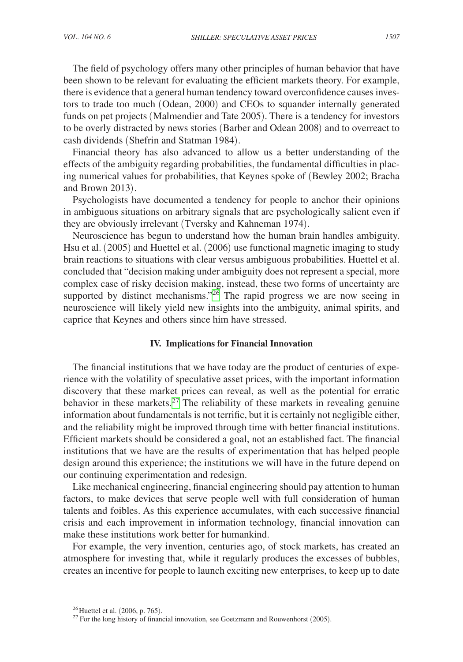The field of psychology offers many other principles of human behavior that have been shown to be relevant for evaluating the efficient markets theory. For example, there is evidence that a general human tendency toward overconfidence causes investors to trade too much (Odean, 2000) and CEOs to squander internally generated funds on pet projects (Malmendier and Tate 2005). There is a tendency for investors to be overly distracted by news stories (Barber and Odean 2008) and to overreact to cash dividends (Shefrin and Statman 1984).

Financial theory has also advanced to allow us a better understanding of the effects of the ambiguity regarding probabilities, the fundamental difficulties in placing numerical values for probabilities, that Keynes spoke of (Bewley 2002; Bracha and Brown 2013).

Psychologists have documented a tendency for people to anchor their opinions in ambiguous situations on arbitrary signals that are psychologically salient even if they are obviously irrelevant (Tversky and Kahneman 1974).

Neuroscience has begun to understand how the human brain handles ambiguity. Hsu et al. (2005) and Huettel et al. (2006) use functional magnetic imaging to study brain reactions to situations with clear versus ambiguous probabilities. Huettel et al. concluded that "decision making under ambiguity does not represent a special, more complex case of risky decision making, instead, these two forms of uncertainty are supported by distinct mechanisms."<sup>26</sup> The rapid progress we are now seeing in neuroscience will likely yield new insights into the ambiguity, animal spirits, and caprice that Keynes and others since him have stressed.

#### **IV. Implications for Financial Innovation**

The financial institutions that we have today are the product of centuries of experience with the volatility of speculative asset prices, with the important information discovery that these market prices can reveal, as well as the potential for erratic behavior in these markets.<sup>27</sup> The reliability of these markets in revealing genuine information about fundamentals is not terrific, but it is certainly not negligible either, and the reliability might be improved through time with better financial institutions. Efficient markets should be considered a goal, not an established fact. The financial institutions that we have are the results of experimentation that has helped people design around this experience; the institutions we will have in the future depend on our continuing experimentation and redesign.

Like mechanical engineering, financial engineering should pay attention to human factors, to make devices that serve people well with full consideration of human talents and foibles. As this experience accumulates, with each successive financial crisis and each improvement in information technology, financial innovation can make these institutions work better for humankind.

For example, the very invention, centuries ago, of stock markets, has created an atmosphere for investing that, while it regularly produces the excesses of bubbles, creates an incentive for people to launch exciting new enterprises, to keep up to date

<span id="page-40-1"></span>

<span id="page-40-0"></span><sup>&</sup>lt;sup>26</sup>Huettel et al. (2006, p. 765). <sup>27</sup> For the long history of financial innovation, see Goetzmann and Rouwenhorst (2005).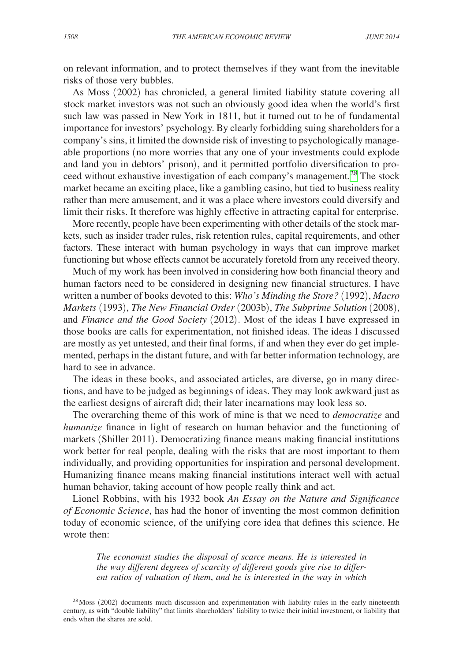on relevant information, and to protect themselves if they want from the inevitable risks of those very bubbles.

As Moss (2002) has chronicled, a general limited liability statute covering all stock market investors was not such an obviously good idea when the world's first such law was passed in New York in 1811, but it turned out to be of fundamental importance for investors' psychology. By clearly forbidding suing shareholders for a company's sins, it limited the downside risk of investing to psychologically manageable proportions (no more worries that any one of your investments could explode and land you in debtors' prison), and it permitted portfolio diversification to proceed without exhaustive investigation of each company's management.<sup>28</sup> The stock market became an exciting place, like a gambling casino, but tied to business reality rather than mere amusement, and it was a place where investors could diversify and limit their risks. It therefore was highly effective in attracting capital for enterprise.

More recently, people have been experimenting with other details of the stock markets, such as insider trader rules, risk retention rules, capital requirements, and other factors. These interact with human psychology in ways that can improve market functioning but whose effects cannot be accurately foretold from any received theory.

Much of my work has been involved in considering how both financial theory and human factors need to be considered in designing new financial structures. I have written a number of books devoted to this: *Who's Minding the Store?* (1992), *Macro Markets* (1993), *The New Financial Order* (2003b), *The Subprime Solution* (2008), and *Finance and the Good Society* (2012). Most of the ideas I have expressed in those books are calls for experimentation, not finished ideas. The ideas I discussed are mostly as yet untested, and their final forms, if and when they ever do get implemented, perhaps in the distant future, and with far better information technology, are hard to see in advance.

The ideas in these books, and associated articles, are diverse, go in many directions, and have to be judged as beginnings of ideas. They may look awkward just as the earliest designs of aircraft did; their later incarnations may look less so.

The overarching theme of this work of mine is that we need to *democratize* and *humanize* finance in light of research on human behavior and the functioning of markets (Shiller 2011). Democratizing finance means making financial institutions work better for real people, dealing with the risks that are most important to them individually, and providing opportunities for inspiration and personal development. Humanizing finance means making financial institutions interact well with actual human behavior, taking account of how people really think and act.

Lionel Robbins, with his 1932 book *An Essay on the Nature and Significance of Economic Science*, has had the honor of inventing the most common definition today of economic science, of the unifying core idea that defines this science. He wrote then:

*The economist studies the disposal of scarce means. He is interested in the way different degrees of scarcity of different goods give rise to different ratios of valuation of them*, *and he is interested in the way in which* 

<span id="page-41-0"></span><sup>28</sup> Moss (2002) documents much discussion and experimentation with liability rules in the early nineteenth century, as with "double liability" that limits shareholders' liability to twice their initial investment, or liability that ends when the shares are sold.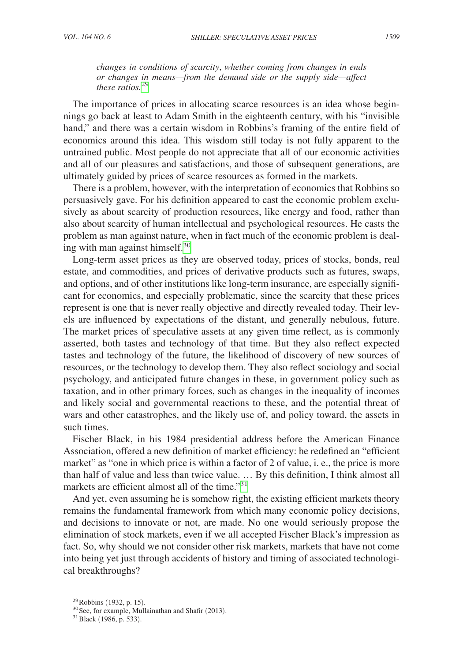*changes in conditions of scarcity*, *whether coming from changes in ends or changes in means—from the demand side or the supply side—affect these ratios.*[29](#page-42-0)

The importance of prices in allocating scarce resources is an idea whose beginnings go back at least to Adam Smith in the eighteenth century, with his "invisible hand," and there was a certain wisdom in Robbins's framing of the entire field of economics around this idea. This wisdom still today is not fully apparent to the untrained public. Most people do not appreciate that all of our economic activities and all of our pleasures and satisfactions, and those of subsequent generations, are ultimately guided by prices of scarce resources as formed in the markets.

There is a problem, however, with the interpretation of economics that Robbins so persuasively gave. For his definition appeared to cast the economic problem exclusively as about scarcity of production resources, like energy and food, rather than also about scarcity of human intellectual and psychological resources. He casts the problem as man against nature, when in fact much of the economic problem is dealing with man against himself.<sup>30</sup>

Long-term asset prices as they are observed today, prices of stocks, bonds, real estate, and commodities, and prices of derivative products such as futures, swaps, and options, and of other institutions like long-term insurance, are especially significant for economics, and especially problematic, since the scarcity that these prices represent is one that is never really objective and directly revealed today. Their levels are influenced by expectations of the distant, and generally nebulous, future. The market prices of speculative assets at any given time reflect, as is commonly asserted, both tastes and technology of that time. But they also reflect expected tastes and technology of the future, the likelihood of discovery of new sources of resources, or the technology to develop them. They also reflect sociology and social psychology, and anticipated future changes in these, in government policy such as taxation, and in other primary forces, such as changes in the inequality of incomes and likely social and governmental reactions to these, and the potential threat of wars and other catastrophes, and the likely use of, and policy toward, the assets in such times.

Fischer Black, in his 1984 presidential address before the American Finance Association, offered a new definition of market efficiency: he redefined an "efficient market" as "one in which price is within a factor of 2 of value, i. e., the price is more than half of value and less than twice value. … By this definition, I think almost all markets are efficient almost all of the time."<sup>[31](#page-42-2)</sup>

And yet, even assuming he is somehow right, the existing efficient markets theory remains the fundamental framework from which many economic policy decisions, and decisions to innovate or not, are made. No one would seriously propose the elimination of stock markets, even if we all accepted Fischer Black's impression as fact. So, why should we not consider other risk markets, markets that have not come into being yet just through accidents of history and timing of associated technological breakthroughs?

<span id="page-42-1"></span>

<span id="page-42-0"></span><sup>&</sup>lt;sup>29</sup>Robbins (1932, p. 15).<br><sup>30</sup>See, for example, Mullainathan and Shafir (2013).<br><sup>31</sup>Black (1986, p. 533).

<span id="page-42-2"></span>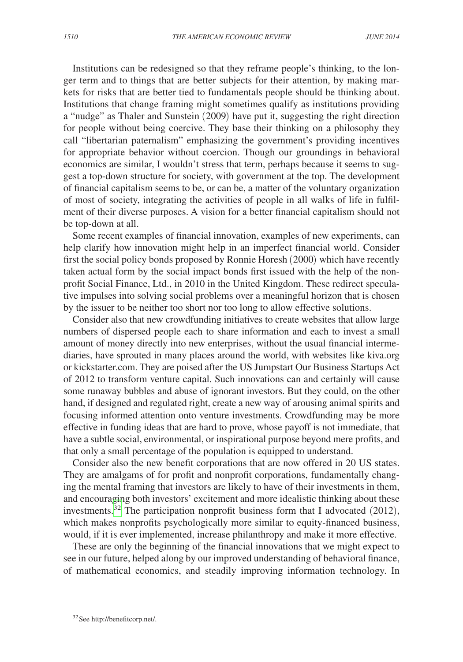Institutions can be redesigned so that they reframe people's thinking, to the longer term and to things that are better subjects for their attention, by making markets for risks that are better tied to fundamentals people should be thinking about. Institutions that change framing might sometimes qualify as institutions providing a "nudge" as Thaler and Sunstein (2009) have put it, suggesting the right direction for people without being coercive. They base their thinking on a philosophy they call "libertarian paternalism" emphasizing the government's providing incentives for appropriate behavior without coercion. Though our groundings in behavioral economics are similar, I wouldn't stress that term, perhaps because it seems to suggest a top-down structure for society, with government at the top. The development of financial capitalism seems to be, or can be, a matter of the voluntary organization of most of society, integrating the activities of people in all walks of life in fulfilment of their diverse purposes. A vision for a better financial capitalism should not be top-down at all.

Some recent examples of financial innovation, examples of new experiments, can help clarify how innovation might help in an imperfect financial world. Consider first the social policy bonds proposed by Ronnie Horesh (2000) which have recently taken actual form by the social impact bonds first issued with the help of the nonprofit Social Finance, Ltd., in 2010 in the United Kingdom. These redirect speculative impulses into solving social problems over a meaningful horizon that is chosen by the issuer to be neither too short nor too long to allow effective solutions.

Consider also that new crowdfunding initiatives to create websites that allow large numbers of dispersed people each to share information and each to invest a small amount of money directly into new enterprises, without the usual financial intermediaries, have sprouted in many places around the world, with websites like <kiva.org> or<kickstarter.com>. They are poised after the US Jumpstart Our Business Startups Act of 2012 to transform venture capital. Such innovations can and certainly will cause some runaway bubbles and abuse of ignorant investors. But they could, on the other hand, if designed and regulated right, create a new way of arousing animal spirits and focusing informed attention onto venture investments. Crowdfunding may be more effective in funding ideas that are hard to prove, whose payoff is not immediate, that have a subtle social, environmental, or inspirational purpose beyond mere profits, and that only a small percentage of the population is equipped to understand.

Consider also the new benefit corporations that are now offered in 20 US states. They are amalgams of for profit and nonprofit corporations, fundamentally changing the mental framing that investors are likely to have of their investments in them, and encouraging both investors' excitement and more idealistic thinking about these investments.<sup>32</sup> The participation nonprofit business form that I advocated (2012), which makes nonprofits psychologically more similar to equity-financed business, would, if it is ever implemented, increase philanthropy and make it more effective.

<span id="page-43-0"></span>These are only the beginning of the financial innovations that we might expect to see in our future, helped along by our improved understanding of behavioral finance, of mathematical economics, and steadily improving information technology. In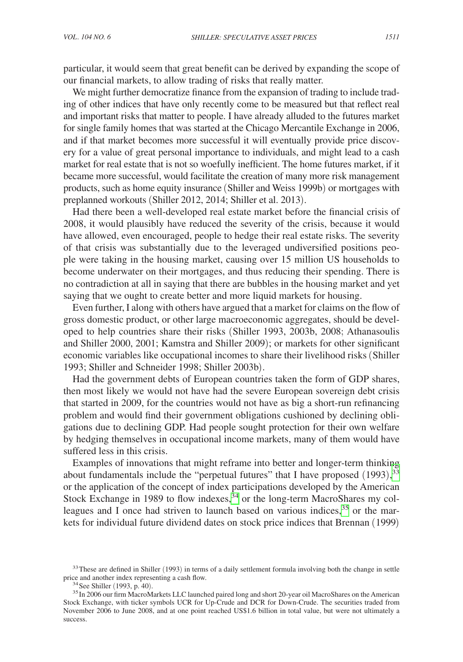particular, it would seem that great benefit can be derived by expanding the scope of our financial markets, to allow trading of risks that really matter.

We might further democratize finance from the expansion of trading to include trading of other indices that have only recently come to be measured but that reflect real and important risks that matter to people. I have already alluded to the futures market for single family homes that was started at the Chicago Mercantile Exchange in 2006, and if that market becomes more successful it will eventually provide price discovery for a value of great personal importance to individuals, and might lead to a cash market for real estate that is not so woefully inefficient. The home futures market, if it became more successful, would facilitate the creation of many more risk management products, such as home equity insurance (Shiller and Weiss 1999b) or mortgages with preplanned workouts (Shiller 2012, 2014; Shiller et al. 2013).

Had there been a well-developed real estate market before the financial crisis of 2008, it would plausibly have reduced the severity of the crisis, because it would have allowed, even encouraged, people to hedge their real estate risks. The severity of that crisis was substantially due to the leveraged undiversified positions people were taking in the housing market, causing over 15 million US households to become underwater on their mortgages, and thus reducing their spending. There is no contradiction at all in saying that there are bubbles in the housing market and yet saying that we ought to create better and more liquid markets for housing.

Even further, I along with others have argued that a market for claims on the flow of gross domestic product, or other large macroeconomic aggregates, should be developed to help countries share their risks (Shiller 1993, 2003b, 2008; Athanasoulis and Shiller 2000, 2001; Kamstra and Shiller 2009); or markets for other significant economic variables like occupational incomes to share their livelihood risks (Shiller 1993; Shiller and Schneider 1998; Shiller 2003b).

Had the government debts of European countries taken the form of GDP shares, then most likely we would not have had the severe European sovereign debt crisis that started in 2009, for the countries would not have as big a short-run refinancing problem and would find their government obligations cushioned by declining obligations due to declining GDP. Had people sought protection for their own welfare by hedging themselves in occupational income markets, many of them would have suffered less in this crisis.

Examples of innovations that might reframe into better and longer-term thinking about fundamentals include the "perpetual futures" that I have proposed  $(1993)$ ,  $^{33}$  $^{33}$  $^{33}$ or the application of the concept of index participations developed by the American Stock Exchange in 1989 to flow indexes,  $34$  or the long-term MacroShares my colleagues and I once had striven to launch based on various indices,  $35$  or the markets for individual future dividend dates on stock price indices that Brennan (1999)

<span id="page-44-0"></span> $33$ These are defined in Shiller (1993) in terms of a daily settlement formula involving both the change in settle price and another index representing a cash flow.

<span id="page-44-2"></span><span id="page-44-1"></span>

<sup>&</sup>lt;sup>34</sup> See Shiller (1993, p. 40).<br><sup>35</sup> In 2006 our firm MacroMarkets LLC launched paired long and short 20-year oil MacroShares on the American Stock Exchange, with ticker symbols UCR for Up-Crude and DCR for Down-Crude. The securities traded from November 2006 to June 2008, and at one point reached US\$1.6 billion in total value, but were not ultimately a success.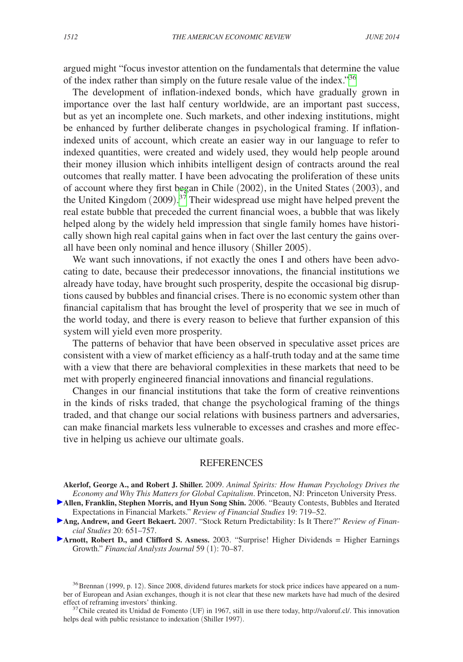argued might "focus investor attention on the fundamentals that determine the value of the index rather than simply on the future resale value of the index."<sup>[36](#page-45-0)</sup>

The development of inflation-indexed bonds, which have gradually grown in importance over the last half century worldwide, are an important past success, but as yet an incomplete one. Such markets, and other indexing institutions, might be enhanced by further deliberate changes in psychological framing. If inflationindexed units of account, which create an easier way in our language to refer to indexed quantities, were created and widely used, they would help people around their money illusion which inhibits intelligent design of contracts around the real outcomes that really matter. I have been advocating the proliferation of these units of account where they first began in Chile (2002), in the United States (2003), and the United Kingdom  $(2009)$ .<sup>[37](#page-45-1)</sup> Their widespread use might have helped prevent the real estate bubble that preceded the current financial woes, a bubble that was likely helped along by the widely held impression that single family homes have historically shown high real capital gains when in fact over the last century the gains overall have been only nominal and hence illusory (Shiller 2005).

We want such innovations, if not exactly the ones I and others have been advocating to date, because their predecessor innovations, the financial institutions we already have today, have brought such prosperity, despite the occasional big disruptions caused by bubbles and financial crises. There is no economic system other than financial capitalism that has brought the level of prosperity that we see in much of the world today, and there is every reason to believe that further expansion of this system will yield even more prosperity.

The patterns of behavior that have been observed in speculative asset prices are consistent with a view of market efficiency as a half-truth today and at the same time with a view that there are behavioral complexities in these markets that need to be met with properly engineered financial innovations and financial regulations.

Changes in our financial institutions that take the form of creative reinventions in the kinds of risks traded, that change the psychological framing of the things traded, and that change our social relations with business partners and adversaries, can make financial markets less vulnerable to excesses and crashes and more effective in helping us achieve our ultimate goals.

# REFERENCES

**Akerlof, George A., and Robert J. Shiller.** 2009. *Animal Spirits: How Human Psychology Drives the Economy and Why This Matters for Global Capitalism*. Princeton, NJ: Princeton University Press.

**Allen, Franklin, Stephen Morris, and Hyun Song Shin.** 2006. "Beauty Contests, Bubbles and Iterated Expectations in Financial Markets." *Review of Financial Studies* 19: 719–52.

**[A](http://pubs.aeaweb.org/action/showLinks?crossref=10.2469%2Ffaj.v59.n1.2504)rnott, Robert D., and Clifford S. Asness.** 2003. "Surprise! Higher Dividends = Higher Earnings Growth." *Financial Analysts Journal* 59 (1): 70–87.

<span id="page-45-0"></span><sup>36</sup>Brennan (1999, p. 12). Since 2008, dividend futures markets for stock price indices have appeared on a number of European and Asian exchanges, though it is not clear that these new markets have had much of the desired<br>effect of reframing investors' thinking.

<span id="page-45-1"></span> $37$  Chile created its Unidad de Fomento (UF) in 1967, still in use there today, <http://valoruf.cl>/. This innovation helps deal with public resistance to indexation (Shiller 1997).

**Ang, Andrew, and Geert Bekaert.** 2007. "Stock Return Predictability: Is It There?" *Review of Financial Studies* 20: 651–757.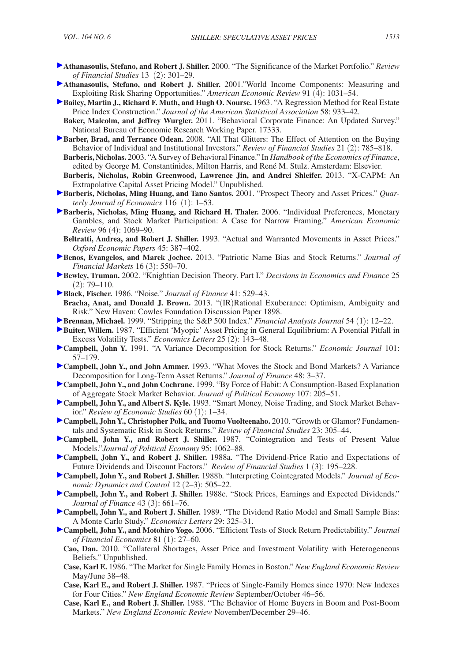- **Athanasoulis, Stefano, and Robert J. Shiller.** 2000. "The Significance of the Market Portfolio." *Review of Financial Studies* 13 (2): 301–29.
- **Athanasoulis, Stefano, and Robert J. Shiller.** 2001."World Income Components: Measuring and Exploiting Risk Sharing Opportunities." *American Economic Review* 91 (4): 1031–54.
- **Bailey, Martin J., Richard F. Muth, and Hugh O. Nourse.** 1963. "A Regression Method for Real Estate Price Index Construction." *Journal of the American Statistical Association* 58: 933–42.
- **Baker, Malcolm, and Jeffrey Wurgler.** 2011. "Behavioral Corporate Finance: An Updated Survey." National Bureau of Economic Research Working Paper. 17333.
- **Barber, Brad, and Terrance Odean.** 2008. "All That Glitters: The Effect of Attention on the Buying Behavior of Individual and Institutional Investors." *Review of Financial Studies* 21 (2): 785–818.
- **Barberis, Nicholas.** 2003. "A Survey of Behavioral Finance." In *Handbook of the Economics of Finance*, edited by George M. Constantinides, Milton Harris, and René M. Stulz. Amsterdam: Elsevier.
- **Barberis, Nicholas, Robin Greenwood, Lawrence Jin, and Andrei Shleifer.** 2013. "X-CAPM: An Extrapolative Capital Asset Pricing Model." Unpublished.
- **Barberis, Nicholas, Ming Huang, and Tano Santos.** 2001. "Prospect Theory and Asset Prices." *Quarterly Journal of Economics* 116 (1): 1–53.
- **Barberis, Nicholas, Ming Huang, and Richard H. Thaler.** 2006. "Individual Preferences, Monetary Gambles, and Stock Market Participation: A Case for Narrow Framing." *American Economic Review* 96 (4): 1069–90.
	- **Beltratti, Andrea, and Robert J. Shiller.** 1993. "Actual and Warranted Movements in Asset Prices." *Oxford Economic Papers* 45: 387–402.
- **Benos, Evangelos, and Marek Jochec.** 2013. "Patriotic Name Bias and Stock Returns." *Journal of Financial Markets* 16 (3): 550–70.
- **Bewley, Truman.** 2002. "Knightian Decision Theory. Part I." *Decisions in Economics and Finance* 25  $(2)$ : 79–110.
- **Black, Fischer.** 1986. "Noise." *Journal of Finance* 41: 529–43. **Bracha, Anat, and Donald J. Brown.** 2013. "(IR)Rational Exuberance: Optimism, Ambiguity and Risk." New Haven: Cowles Foundation Discussion Paper 1898.
- **Brennan, Michael.** 1999. "Stripping the S&P 500 Index." *Financial Analysts Journal* 54 (1): 12–22.
- **Buiter, Willem.** 1987. "Efficient 'Myopic' Asset Pricing in General Equilibrium: A Potential Pitfall in Excess Volatility Tests." *Economics Letters* 25 (2): 143–48.
- **Campbell, John Y.** 1991. "A Variance Decomposition for Stock Returns." *Economic Journal* 101: 57–179.
- **Campbell, John Y., and John Ammer.** 1993. "What Moves the Stock and Bond Markets? A Variance Decomposition for Long-Term Asset Returns." *Journal of Finance* 48: 3–37.
- **Campbell, John Y., and John Cochrane.** 1999. "By Force of Habit: A Consumption-Based Explanation of Aggregate Stock Market Behavior. *Journal of Political Economy* 107: 205–51.
- **Campbell, John Y., and Albert S. Kyle.** 1993. "Smart Money, Noise Trading, and Stock Market Behavior." *Review of Economic Studies* 60 (1): 1–34.
- **Campbell, John Y., Christopher Polk, and Tuomo Vuolteenaho.** 2010. "Growth or Glamor? Fundamentals and Systematic Risk in Stock Returns." *Review of Financial Studies* 23: 305–44.
- **Campbell, John Y., and Robert J. Shiller.** 1987. "Cointegration and Tests of Present Value Models."*Journal of Political Economy* 95: 1062–88.
- **Campbell, John Y., and Robert J. Shiller.** 1988a. "The Dividend-Price Ratio and Expectations of Future Dividends and Discount Factors." *Review of Financial Studies* 1 (3): 195–228.
- **Campbell, John Y., and Robert J. Shiller.** 1988b. "Interpreting Cointegrated Models." *Journal of Economic Dynamics and Control* 12 (2–3): 505–22.
- **Campbell, John Y., and Robert J. Shiller.** 1988c. "Stock Prices, Earnings and Expected Dividends." *Journal of Finance* 43 (3): 661–76.
- **Campbell, John Y., and Robert J. Shiller.** 1989. "The Dividend Ratio Model and Small Sample Bias: A Monte Carlo Study." *Economics Letters* 29: 325–31.
- **Campbell, John Y., and Motohiro Yogo.** 2006. "Efficient Tests of Stock Return Predictability." *Journal of Financial Economics* 81 (1): 27–60.
	- **Cao, Dan.** 2010. "Collateral Shortages, Asset Price and Investment Volatility with Heterogeneous Beliefs." Unpublished.
	- **Case, Karl E.** 1986. "The Market for Single Family Homes in Boston." *New England Economic Review* May/June 38–48.
	- **Case, Karl E., and Robert J. Shiller.** 1987. "Prices of Single-Family Homes since 1970: New Indexes for Four Cities." *New England Economic Review* September/October 46–56.
	- **Case, Karl E., and Robert J. Shiller.** 1988. "The Behavior of Home Buyers in Boom and Post-Boom Markets." *New England Economic Review* November/December 29–46.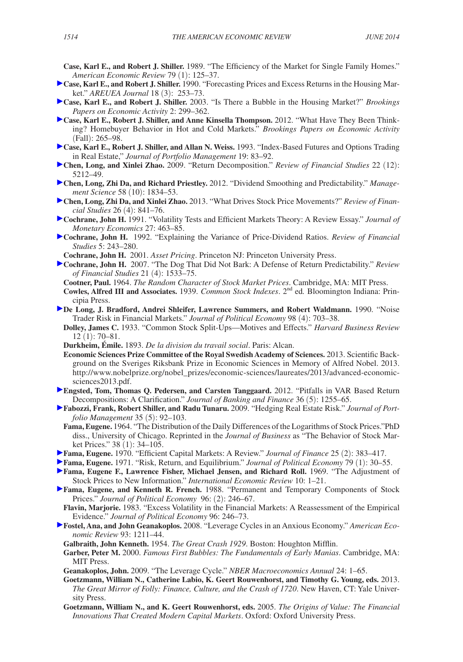**Case, Karl E., and Robert J. Shiller.** 1989. "The Efficiency of the Market for Single Family Homes." *American Economic Review* 79 (1): 125–37.

- **Case, Karl E., and Robert J. Shiller.** 1990. "Forecasting Prices and Excess Returns in the Housing Market." *AREUEA Journal* 18 (3): 253–73.
- **Case, Karl E., and Robert J. Shiller.** 2003. "Is There a Bubble in the Housing Market?" *Brookings Papers on Economic Activity* 2: 299–362.
- **Case, Karl E., Robert J. Shiller, and Anne Kinsella Thompson.** 2012. "What Have They Been Thinking? Homebuyer Behavior in Hot and Cold Markets." *Brookings Papers on Economic Activity* (Fall): 265–98.
- **Case, Karl E., Robert J. Shiller, and Allan N. Weiss.** 1993. "Index-Based Futures and Options Trading in Real Estate," *Journal of Portfolio Management* 19: 83–92.
- **Chen, Long, and Xinlei Zhao.** 2009. "Return Decomposition." *Review of Financial Studies* 22 (12): 5212–49.
- **Chen, Long, Zhi Da, and Richard Priestley.** 2012. "Dividend Smoothing and Predictability." *Management Science* 58 (10): 1834–53.
- **Chen, Long, Zhi Da, and Xinlei Zhao.** 2013. "What Drives Stock Price Movements?" *Review of Financial Studies* 26 (4): 841–76.
- **Cochrane, John H.** 1991. "Volatility Tests and Efficient Markets Theory: A Review Essay." *Journal of Monetary Economics* 27: 463–85.
- **Cochrane, John H.** 1992. "Explaining the Variance of Price-Dividend Ratios. *Review of Financial Studies* 5: 243–280.

**Cochrane, John H.** 2001. *Asset Pricing*. Princeton NJ: Princeton University Press.

**Cochrane, John H.** 2007. "The Dog That Did Not Bark: A Defense of Return Predictability." *Review of Financial Studies* 21 (4): 1533–75.

**Cootner, Paul.** 1964. *The Random Character of Stock Market Prices*. Cambridge, MA: MIT Press.

- **Cowles, Alfred III and Associates.** 1939. *Common Stock Indexes*. 2nd ed*.* Bloomington Indiana: Principia Press.
- **De Long, J. Bradford, Andrei Shleifer, Lawrence Summers, and Robert Waldmann.** 1990. "Noise Trader Risk in Financial Markets." *Journal of Political Economy* 98 (4): 703–38.
	- **Dolley, James C.** 1933. "Common Stock Split-Ups—Motives and Effects." *Harvard Business Review* 12 (1): 70–81.
	- **Durkheim, Émile.** 1893. *De la division du travail social*. Paris: Alcan.
	- **Economic Sciences Prize Committee of the Royal Swedish Academy of Sciences.** 2013. Scientific Background on the Sveriges Riksbank Prize in Economic Sciences in Memory of Alfred Nobel. 2013. [http://www.nobelprize.org/nobel\\_prizes/economic-sciences/laureates/2013/advanced-economic](http://www.nobelprize.org/nobel_prizes/economic-sciences/laureates/2013/advanced-economicsciences2013.pdf)[sciences2013.pdf](http://www.nobelprize.org/nobel_prizes/economic-sciences/laureates/2013/advanced-economicsciences2013.pdf).
- **Engsted, Tom, Thomas Q. Pedersen, and Carsten Tanggaard.** 2012. "Pitfalls in VAR Based Return Decompositions: A Clarification." *Journal of Banking and Finance* 36 (5): 1255–65.
- **Fabozzi, Frank, Robert Shiller, and Radu Tunaru.** 2009. "Hedging Real Estate Risk." *Journal of Portfolio Management* 35 (5): 92–103.
	- **Fama, Eugene.** 1964. "The Distribution of the Daily Differences of the Logarithms of Stock Prices."PhD diss., University of Chicago. Reprinted in the *Journal of Business* as "The Behavior of Stock Market Prices." 38 (1): 34–105.
- **Fama, Eugene.** 1970. "Efficient Capital Markets: A Review." *Journal of Finance* 25 (2): 383–417.
- **Fama, Eugene.** 1971. "Risk, Return, and Equilibrium." *Journal of Political Economy* 79 (1): 30–55.
- **Fama, Eugene F., Lawrence Fisher, Michael Jensen, and Richard Roll.** 1969. "The Adjustment of Stock Prices to New Information." *International Economic Review* 10: 1–21.
- **Fama, Eugene, and Kenneth R. French.** 1988. "Permanent and Temporary Components of Stock Prices." *Journal of Political Economy* 96: (2): 246–67.
- **Flavin, Marjorie.** 1983. "Excess Volatility in the Financial Markets: A Reassessment of the Empirical Evidence." *Journal of Political Economy* 96: 246–73.
- **Fostel, Ana, and John Geanakoplos.** 2008. "Leverage Cycles in an Anxious Economy." *American Economic Review* 93: 1211–44.

**Galbraith, John Kenneth.** 1954. *The Great Crash 1929*. Boston: Houghton Mifflin.

- **Garber, Peter M.** 2000. *Famous First Bubbles: The Fundamentals of Early Manias*. Cambridge, MA: MIT Press.
- **Geanakoplos, John.** 2009. "The Leverage Cycle." *NBER Macroeconomics Annual* 24: 1–65.
- **Goetzmann, William N., Catherine Labio, K. Geert Rouwenhorst, and Timothy G. Young, eds.** 2013. *The Great Mirror of Folly: Finance, Culture, and the Crash of 1720*. New Haven, CT: Yale University Press.
- **Goetzmann, William N., and K. Geert Rouwenhorst, eds.** 2005. *The Origins of Value: The Financial Innovations That Created Modern Capital Markets*. Oxford: Oxford University Press.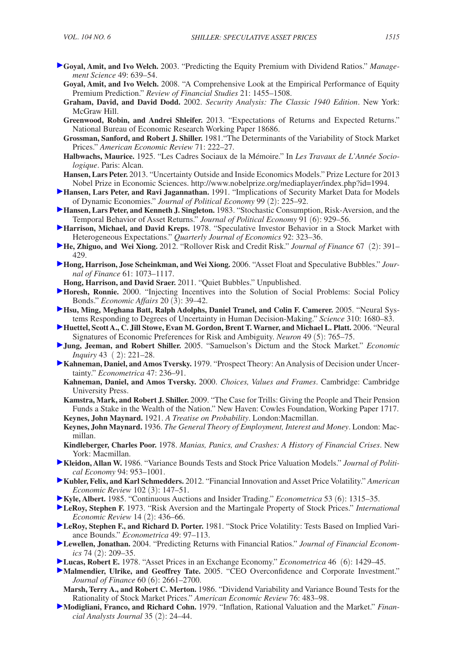- **Goyal, Amit, and Ivo Welch.** 2003. "Predicting the Equity Premium with Dividend Ratios." *Management Science* 49: 639–54.
	- **Goyal, Amit, and Ivo Welch.** 2008. "A Comprehensive Look at the Empirical Performance of Equity Premium Prediction." *Review of Financial Studies* 21: 1455–1508.
	- **Graham, David, and David Dodd.** 2002. *Security Analysis: The Classic 1940 Edition*. New York: McGraw Hill.
	- **Greenwood, Robin, and Andrei Shleifer.** 2013. "Expectations of Returns and Expected Returns." National Bureau of Economic Research Working Paper 18686.
	- **Grossman, Sanford, and Robert J. Shiller.** 1981."The Determinants of the Variability of Stock Market Prices." *American Economic Review* 71: 222–27.
	- **Halbwachs, Maurice.** 1925. "Les Cadres Sociaux de la Mémoire." In *Les Travaux de L'Année Sociologique*. Paris: Alcan.
- **Hansen, Lars Peter.** 2013. "Uncertainty Outside and Inside Economics Models." Prize Lecture for 2013 Nobel Prize in Economic Sciences. <http://www.nobelprize.org/mediaplayer/index.php?id=1994.>
- **Hansen, Lars Peter, and Ravi Jagannathan.** 1991. "Implications of Security Market Data for Models of Dynamic Economies." *Journal of Political Economy* 99 (2): 225–92.
- **Hansen, Lars Peter, and Kenneth J. Singleton.** 1983. "Stochastic Consumption, Risk-Aversion, and the Temporal Behavior of Asset Returns." *Journal of Political Economy* 91 (6): 929–56.
- **Harrison, Michael, and David Kreps.** 1978. "Speculative Investor Behavior in a Stock Market with Heterogeneous Expectations." *Quarterly Journal of Economics* 92: 323–36.
- **He, Zhiguo, and Wei Xiong.** 2012. "Rollover Risk and Credit Risk." *Journal of Finance* 67 (2): 391– 429.
- **Hong, Harrison, Jose Scheinkman, and Wei Xiong.** 2006. "Asset Float and Speculative Bubbles." *Journal of Finance* 61: 1073–1117.
	- **Hong, Harrison, and David Sraer.** 2011. "Quiet Bubbles." Unpublished.
- **Horesh, Ronnie.** 2000. "Injecting Incentives into the Solution of Social Problems: Social Policy Bonds." *Economic Affairs* 20 (3): 39–42.
- **Hsu, Ming, Meghana Batt, Ralph Adolphs, Daniel Tranel, and Colin F. Camerer.** 2005. "Neural Systems Responding to Degrees of Uncertainty in Human Decision-Making." *Science* 310: 1680–83.
- **Huettel, Scott A., C. Jill Stowe, Evan M. Gordon, Brent T. Warner, and Michael L. Platt.** 2006. "Neural Signatures of Economic Preferences for Risk and Ambiguity. *Neuron* 49 (5): 765–75.
- **Jung, Jeeman, and Robert Shiller.** 2005. "Samuelson's Dictum and the Stock Market." *Economic Inquiry* 43 ( 2): 221–28.
- **Kahneman, Daniel, and Amos Tversky.** 1979. "Prospect Theory: An Analysis of Decision under Uncertainty." *Econometrica* 47: 236–91.
	- **Kahneman, Daniel, and Amos Tversky.** 2000. *Choices, Values and Frames*. Cambridge: Cambridge University Press.
	- **Kamstra, Mark, and Robert J. Shiller.** 2009. "The Case for Trills: Giving the People and Their Pension Funds a Stake in the Wealth of the Nation." New Haven: Cowles Foundation, Working Paper 1717. **Keynes, John Maynard.** 1921. *A Treatise on Probability*. London:Macmillan.
	- **Keynes, John Maynard.** 1936. *The General Theory of Employment, Interest and Money*. London: Macmillan.
	- **Kindleberger, Charles Poor.** 1978. *Manias, Panics, and Crashes: A History of Financial Crises*. New York: Macmillan.
- **Kleidon, Allan W.** 1986. "Variance Bounds Tests and Stock Price Valuation Models." *Journal of Political Economy* 94: 953–1001.
- **Kubler, Felix, and Karl Schmedders.** 2012. "Financial Innovation and Asset Price Volatility." *American Economic Review* 102 (3): 147–51.
- **Kyle, Albert.** 1985. "Continuous Auctions and Insider Trading." *Econometrica* 53 (6): 1315–35.
- **LeRoy, Stephen F.** 1973. "Risk Aversion and the Martingale Property of Stock Prices." *International Economic Review* 14 (2): 436–66.
- **LeRoy, Stephen F., and Richard D. Porter.** 1981. "Stock Price Volatility: Tests Based on Implied Variance Bounds." *Econometrica* 49: 97–113.
- **Lewellen, Jonathan.** 2004. "Predicting Returns with Financial Ratios." *Journal of Financial Economics* 74 (2): 209–35.
- **Lucas, Robert E.** 1978. "Asset Prices in an Exchange Economy." *Econometrica* 46 (6): 1429–45.
- **Malmendier, Ulrike, and Geoffrey Tate.** 2005. "CEO Overconfidence and Corporate Investment." *Journal of Finance* 60 (6): 2661–2700.
- **Marsh, Terry A., and Robert C. Merton.** 1986. "Dividend Variability and Variance Bound Tests for the Rationality of Stock Market Prices." *American Economic Review* 76: 483–98.
- **Modigliani, Franco, and Richard Cohn.** 1979. "Inflation, Rational Valuation and the Market." *Financial Analysts Journal* 35 (2): 24–44.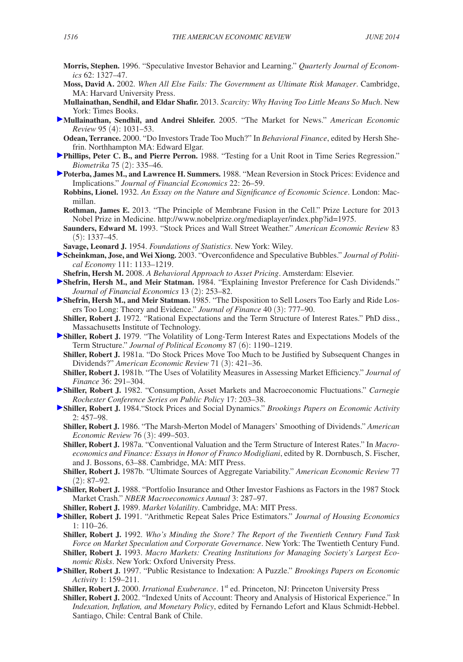- **Morris, Stephen.** 1996. "Speculative Investor Behavior and Learning." *Quarterly Journal of Economics* 62: 1327–47.
- **Moss, David A.** 2002. *When All Else Fails: The Government as Ultimate Risk Manager*. Cambridge, MA: Harvard University Press.
- **Mullainathan, Sendhil, and Eldar Shafir.** 2013. *Scarcity: Why Having Too Little Means So Much*. New York: Times Books.
- **Mullainathan, Sendhil, and Andrei Shleifer.** 2005. "The Market for News." *American Economic Review* 95 (4): 1031–53.
	- **Odean, Terrance.** 2000. "Do Investors Trade Too Much?" In *Behavioral Finance*, edited by Hersh Shefrin. Northhampton MA: Edward Elgar.
- **Phillips, Peter C. B., and Pierre Perron.** 1988. "Testing for a Unit Root in Time Series Regression." *Biometrika* 75 (2): 335–46.
- **Poterba, James M., and Lawrence H. Summers.** 1988. "Mean Reversion in Stock Prices: Evidence and Implications." *Journal of Financial Economics* 22: 26–59.
	- **Robbins, Lionel.** 1932. *An Essay on the Nature and Significance of Economic Science*. London: Macmillan.
	- **Rothman, James E.** 2013. "The Principle of Membrane Fusion in the Cell." Prize Lecture for 2013 Nobel Prize in Medicine. <http://www.nobelprize.org/mediaplayer/index.php?id=1975.>
	- **Saunders, Edward M.** 1993. "Stock Prices and Wall Street Weather." *American Economic Review* 83 (5): 1337–45.
- **Savage, Leonard J.** 1954. *Foundations of Statistics*. New York: Wiley.
- **Scheinkman, Jose, and Wei Xiong.** 2003. "Overconfidence and Speculative Bubbles." *Journal of Political Economy* 111: 1133–1219.
- **Shefrin, Hersh M.** 2008. *A Behavioral Approach to Asset Pricing*. Amsterdam: Elsevier.
- **Shefrin, Hersh M., and Meir Statman.** 1984. "Explaining Investor Preference for Cash Dividends." *Journal of Financial Economics* 13 (2): 253–82.
- **Shefrin, Hersh M., and Meir Statman.** 1985. "The Disposition to Sell Losers Too Early and Ride Losers Too Long: Theory and Evidence." *Journal of Finance* 40 (3): 777–90.
- **Shiller, Robert J.** 1972. "Rational Expectations and the Term Structure of Interest Rates." PhD diss., Massachusetts Institute of Technology.
- **Shiller, Robert J.** 1979. "The Volatility of Long-Term Interest Rates and Expectations Models of the Term Structure." *Journal of Political Economy* 87 (6): 1190–1219.
	- **Shiller, Robert J.** 1981a. "Do Stock Prices Move Too Much to be Justified by Subsequent Changes in Dividends?" *American Economic Review* 71 (3): 421–36.
- **Shiller, Robert J.** 1981b. "The Uses of Volatility Measures in Assessing Market Efficiency." *Journal of Finance* 36: 291–304.
- **Shiller, Robert J.** 1982. "Consumption, Asset Markets and Macroeconomic Fluctuations." *Carnegie Rochester Conference Series on Public Policy* 17: 203–38.
- **Shiller, Robert J.** 1984."Stock Prices and Social Dynamics." *Brookings Papers on Economic Activity* 2: 457–98.
	- **Shiller, Robert J.** 1986. "The Marsh-Merton Model of Managers' Smoothing of Dividends." *American Economic Review* 76 (3): 499–503.
	- **Shiller, Robert J.** 1987a. "Conventional Valuation and the Term Structure of Interest Rates." In *Macroeconomics and Finance: Essays in Honor of Franco Modigliani*, edited by R. Dornbusch, S. Fischer, and J. Bossons, 63–88. Cambridge, MA: MIT Press.
- **Shiller, Robert J.** 1987b. "Ultimate Sources of Aggregate Variability." *American Economic Review* 77 (2): 87–92.
- **Shiller, Robert J. 1988. "Portfolio Insurance and Other Investor Fashions as Factors in the 1987 Stock** Market Crash." *NBER Macroeconomics Annual* 3: 287–97.
- **Shiller, Robert J.** 1989. *Market Volatility*. Cambridge, MA: MIT Press.
- **Shiller, Robert J.** 1991. "Arithmetic Repeat Sales Price Estimators." *Journal of Housing Economics* 1: 110–26.
	- **Shiller, Robert J.** 1992. *Who's Minding the Store? The Report of the Twentieth Century Fund Task Force on Market Speculation and Corporate Governance*. New York: The Twentieth Century Fund. **Shiller, Robert J.** 1993. *Macro Markets: Creating Institutions for Managing Society's Largest Eco-*
- *nomic Risks*. New York: Oxford University Press. **Shiller, Robert J.** 1997. "Public Resistance to Indexation: A Puzzle." *Brookings Papers on Economic Activity* 1: 159–211.
	- **Shiller, Robert J.** 2000. *Irrational Exuberance*. 1st ed. Princeton, NJ: Princeton University Press
	- **Shiller, Robert J.** 2002. "Indexed Units of Account: Theory and Analysis of Historical Experience." In *Indexation, Inflation, and Monetary Policy*, edited by Fernando Lefort and Klaus Schmidt-Hebbel. Santiago, Chile: Central Bank of Chile.